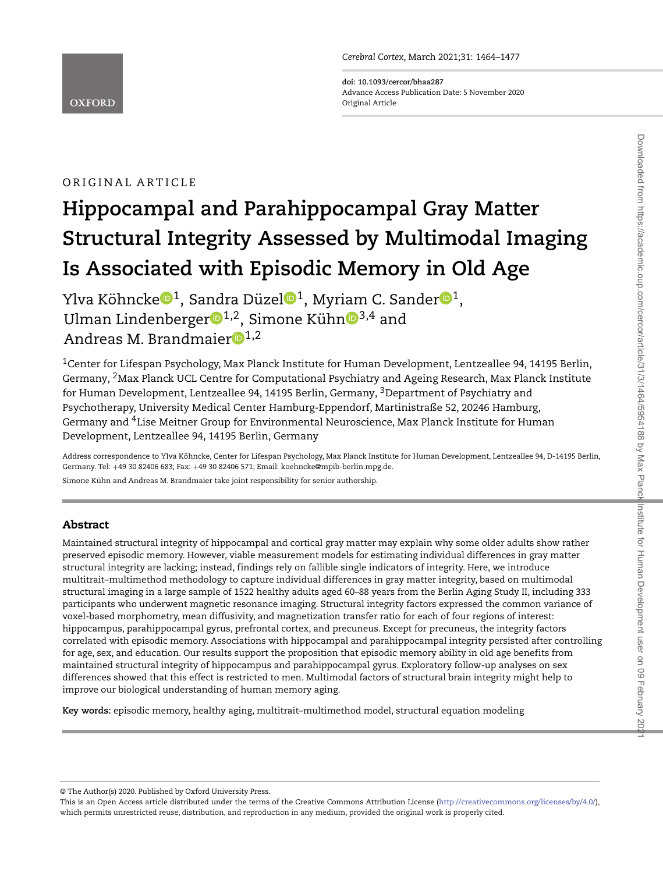## *Cerebral Cortex,* March 2021;31: 1464–1477

**doi: 10.1093/cercor/bhaa287** Advance Access Publication Date: 5 November 2020 Original Article

# ORIGINAL ARTICLE

# **Hippocampal and Parahippocampal Gray Matter Structural Integrity Assessed by Multimodal Imaging Is Associated with Episodic Memory in Old Age**

Ylva Köhncke $\mathbb{D}^1$  $\mathbb{D}^1$ , Sand[r](https://orcid.org/0000-0001-8387-9855)a Düzel $\mathbb{D}^1$ , Myriam C. Sander $\mathbb{D}^1$ , Ulman Lindenbe[r](https://orcid.org/0000-0001-8428-6453)ger $\mathbb{D}^{1,2}$ , Simo[n](https://orcid.org/0000-0001-6823-7969)e Kühn $\mathbb{D}^{3,4}$  and Andreas M. Brandmaier $\mathbb{D}^{1,2}$  $\mathbb{D}^{1,2}$  $\mathbb{D}^{1,2}$ 

<sup>1</sup>Center for Lifespan Psychology, Max Planck Institute for Human Development, Lentzeallee 94, 14195 Berlin, Germany, 2Max Planck UCL Centre for Computational Psychiatry and Ageing Research, Max Planck Institute for Human Development, Lentzeallee 94, 14195 Berlin, Germany, <sup>3</sup>Department of Psychiatry and Psychotherapy, University Medical Center Hamburg-Eppendorf, Martinistraße 52, 20246 Hamburg, Germany and 4Lise Meitner Group for Environmental Neuroscience, Max Planck Institute for Human Development, Lentzeallee 94, 14195 Berlin, Germany

Address correspondence to Ylva Köhncke, Center for Lifespan Psychology, Max Planck Institute for Human Development, Lentzeallee 94, D-14195 Berlin, Germany. Tel: +49 30 82406 683; Fax: +49 30 82406 571; Email: koehncke@mpib-berlin.mpg.de. Simone Kühn and Andreas M. Brandmaier take joint responsibility for senior authorship.

# **Abstract**

Maintained structural integrity of hippocampal and cortical gray matter may explain why some older adults show rather preserved episodic memory. However, viable measurement models for estimating individual differences in gray matter structural integrity are lacking; instead, findings rely on fallible single indicators of integrity. Here, we introduce multitrait–multimethod methodology to capture individual differences in gray matter integrity, based on multimodal structural imaging in a large sample of 1522 healthy adults aged 60–88 years from the Berlin Aging Study II, including 333 participants who underwent magnetic resonance imaging. Structural integrity factors expressed the common variance of voxel-based morphometry, mean diffusivity, and magnetization transfer ratio for each of four regions of interest: hippocampus, parahippocampal gyrus, prefrontal cortex, and precuneus. Except for precuneus, the integrity factors correlated with episodic memory. Associations with hippocampal and parahippocampal integrity persisted after controlling for age, sex, and education. Our results support the proposition that episodic memory ability in old age benefits from maintained structural integrity of hippocampus and parahippocampal gyrus. Exploratory follow-up analyses on sex differences showed that this effect is restricted to men. Multimodal factors of structural brain integrity might help to improve our biological understanding of human memory aging.

**Key words:** episodic memory, healthy aging, multitrait–multimethod model, structural equation modeling

© The Author(s) 2020. Published by Oxford University Press.

This is an Open Access article distributed under the terms of the Creative Commons Attribution License [\(http://creativecommons.org/licenses/by/4.0/\)](http://creativecommons.org/licenses/by/4.0/), which permits unrestricted reuse, distribution, and reproduction in any medium, provided the original work is properly cited.

**OXFORD**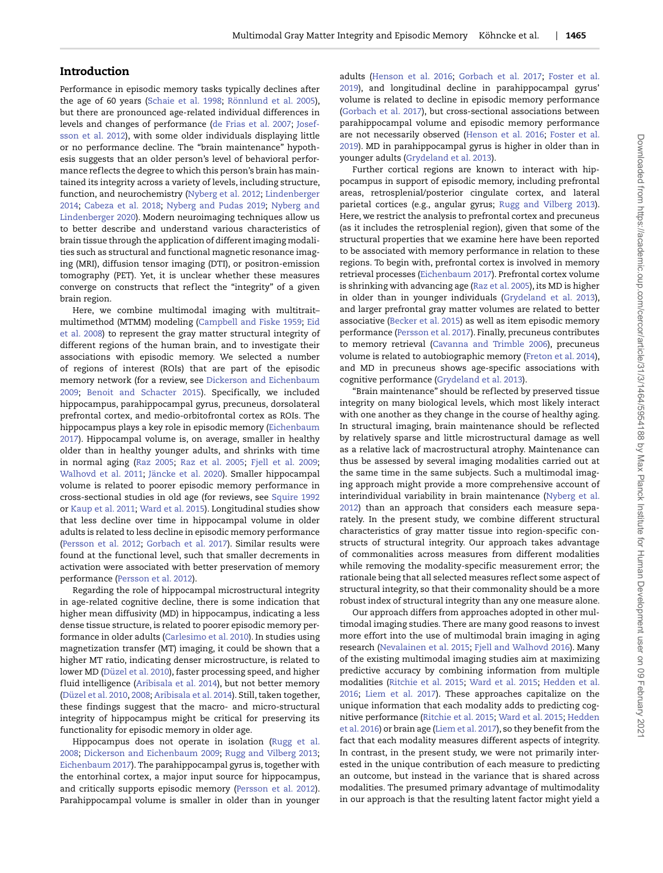## **Introduction**

Performance in episodic memory tasks typically declines after the age of 60 years [\(Schaie et al. 1998;](#page-13-0) [Rönnlund et al. 2005\)](#page-13-1), but there are pronounced age-related individual differences in levels and changes of performance [\(de Frias et al. 2007;](#page-11-0) Josef[sson et al. 2012\), with some older individuals displaying little](#page-12-0) or no performance decline. The "brain maintenance" hypothesis suggests that an older person's level of behavioral performance ref lects the degree to which this person's brain has maintained its integrity across a variety of levels, including structure, [function, and neurochemistry \(](#page-12-2)[Nyberg et al. 2012](#page-12-1)[;](#page-12-2) Lindenberger 2014; [Cabeza et al. 2018;](#page-11-1) [Nyberg and Pudas 2019;](#page-12-3) Nyberg and [Lindenberger 2020\). Modern neuroimaging techniques allow us](#page-12-4) to better describe and understand various characteristics of brain tissue through the application of different imaging modalities such as structural and functional magnetic resonance imaging (MRI), diffusion tensor imaging (DTI), or positron-emission tomography (PET). Yet, it is unclear whether these measures converge on constructs that reflect the "integrity" of a given brain region.

Here, we combine multimodal imaging with multitrait– multimethod (MTMM) modeling [\(Campbell and Fiske 1959;](#page-11-2) Eid [et al. 2008\) to represent the gray matter structural integrity of](#page-11-3) different regions of the human brain, and to investigate their associations with episodic memory. We selected a number of regions of interest (ROIs) that are part of the episodic memory network (for a review, see Dickerson and Eichenbaum 2009; [Benoit and Schacter 2015\). Specifically, we included](#page-11-4) hippocampus, parahippocampal gyrus, precuneus, dorsolateral prefrontal cortex, and medio-orbitofrontal cortex as ROIs. The [hippocampus plays a key role in episodic memory \(Eichenbaum](#page-11-6) 2017). Hippocampal volume is, on average, smaller in healthy older than in healthy younger adults, and shrinks with time in normal aging [\(Raz 2005;](#page-13-2) [Raz et al. 2005;](#page-13-3) [Fjell et al. 2009;](#page-12-5) [Walhovd et al. 2011;](#page-13-4) [Jäncke et al. 2020\)](#page-12-6). Smaller hippocampal volume is related to poorer episodic memory performance in cross-sectional studies in old age (for reviews, see [Squire 1992](#page-13-5) or [Kaup et al. 2011;](#page-12-7) [Ward et al. 2015\)](#page-13-6). Longitudinal studies show that less decline over time in hippocampal volume in older adults is related to less decline in episodic memory performance [\(Persson et al. 2012;](#page-12-8) [Gorbach et al. 2017\)](#page-12-9). Similar results were found at the functional level, such that smaller decrements in activation were associated with better preservation of memory performance [\(Persson et al. 2012\)](#page-12-8).

Regarding the role of hippocampal microstructural integrity in age-related cognitive decline, there is some indication that higher mean diffusivity (MD) in hippocampus, indicating a less dense tissue structure, is related to poorer episodic memory performance in older adults [\(Carlesimo et al. 2010\)](#page-11-7). In studies using magnetization transfer (MT) imaging, it could be shown that a higher MT ratio, indicating denser microstructure, is related to lower MD [\(Düzel et al. 2010\)](#page-11-8), faster processing speed, and higher fluid intelligence [\(Aribisala et al. 2014\)](#page-11-9), but not better memory [\(Düzel et al. 2010,](#page-11-8) [2008;](#page-11-10) [Aribisala et al. 2014\)](#page-11-9). Still, taken together, these findings suggest that the macro- and micro-structural integrity of hippocampus might be critical for preserving its functionality for episodic memory in older age.

[Hippocampus does not operate in isolation \(Rugg et al.](#page-13-7) 2008; [Dickerson and Eichenbaum 2009;](#page-11-4) [Rugg and Vilberg 2013;](#page-13-8) [Eichenbaum 2017\)](#page-11-6). The parahippocampal gyrus is, together with the entorhinal cortex, a major input source for hippocampus, and critically supports episodic memory [\(Persson et al. 2012\)](#page-12-8). Parahippocampal volume is smaller in older than in younger adults [\(Henson et al. 2016;](#page-12-10) [Gorbach et al. 2017;](#page-12-9) Foster et al. [2019\), and longitudinal decline in parahippocampal gyrus'](#page-12-6) volume is related to decline in episodic memory performance [\(Gorbach et al. 2017\)](#page-12-9), but cross-sectional associations between parahippocampal volume and episodic memory performance are not necessarily observed [\(Henson et al. 2016;](#page-12-10) Foster et al. [2019\). MD in parahippocampal gyrus is higher in older than in](#page-12-6) younger adults [\(Grydeland et al. 2013\)](#page-12-11).

Further cortical regions are known to interact with hippocampus in support of episodic memory, including prefrontal areas, retrosplenial/posterior cingulate cortex, and lateral parietal cortices (e.g., angular gyrus; [Rugg and Vilberg 2013\)](#page-13-8). Here, we restrict the analysis to prefrontal cortex and precuneus (as it includes the retrosplenial region), given that some of the structural properties that we examine here have been reported to be associated with memory performance in relation to these regions. To begin with, prefrontal cortex is involved in memory retrieval processes [\(Eichenbaum 2017\)](#page-11-6). Prefrontal cortex volume is shrinking with advancing age [\(Raz et al. 2005\)](#page-13-3), its MD is higher in older than in younger individuals [\(Grydeland et al. 2013\)](#page-12-11), and larger prefrontal gray matter volumes are related to better associative [\(Becker et al. 2015\)](#page-11-11) as well as item episodic memory performance [\(Persson et al. 2017\)](#page-13-9). Finally, precuneus contributes to memory retrieval [\(Cavanna and Trimble 2006\)](#page-11-12), precuneus volume is related to autobiographic memory [\(Freton et al. 2014\)](#page-12-12), and MD in precuneus shows age-specific associations with cognitive performance [\(Grydeland et al. 2013\)](#page-12-11).

"Brain maintenance" should be ref lected by preserved tissue integrity on many biological levels, which most likely interact with one another as they change in the course of healthy aging. In structural imaging, brain maintenance should be reflected by relatively sparse and little microstructural damage as well as a relative lack of macrostructural atrophy. Maintenance can thus be assessed by several imaging modalities carried out at the same time in the same subjects. Such a multimodal imaging approach might provide a more comprehensive account of [interindividual variability in brain maintenance \(Nyberg et al.](#page-12-1) 2012) than an approach that considers each measure separately. In the present study, we combine different structural characteristics of gray matter tissue into region-specific constructs of structural integrity. Our approach takes advantage of commonalities across measures from different modalities while removing the modality-specific measurement error; the rationale being that all selected measures ref lect some aspect of structural integrity, so that their commonality should be a more robust index of structural integrity than any one measure alone.

Our approach differs from approaches adopted in other multimodal imaging studies. There are many good reasons to invest more effort into the use of multimodal brain imaging in aging research [\(Nevalainen et al. 2015;](#page-12-13) [Fjell and Walhovd 2016\)](#page-12-14). Many of the existing multimodal imaging studies aim at maximizing predictive accuracy by combining information from multiple modalities [\(Ritchie et al. 2015;](#page-13-10) [Ward et al. 2015;](#page-13-6) Hedden et al. 2016; [Liem et al. 2017\). These approaches capitalize on the](#page-12-15) unique information that each modality adds to predicting cognitive performance [\(Ritchie et al. 2015;](#page-13-10) [Ward et al. 2015;](#page-13-6) Hedden [et al. 2016\) or brain age \(Liem et al. 2017\), so they benefit from the](#page-12-15) fact that each modality measures different aspects of integrity. In contrast, in the present study, we were not primarily interested in the unique contribution of each measure to predicting an outcome, but instead in the variance that is shared across modalities. The presumed primary advantage of multimodality in our approach is that the resulting latent factor might yield a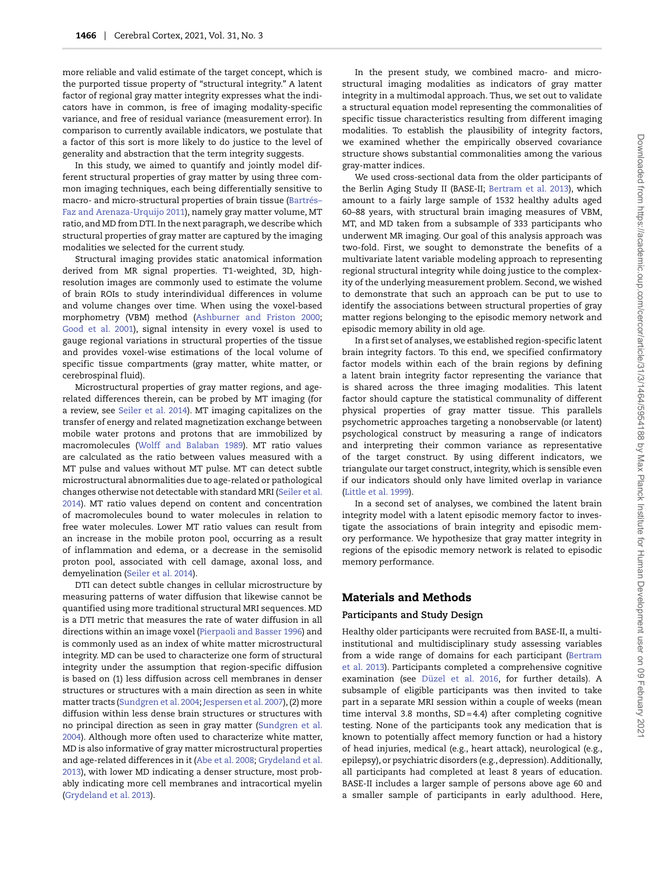more reliable and valid estimate of the target concept, which is the purported tissue property of "structural integrity." A latent factor of regional gray matter integrity expresses what the indicators have in common, is free of imaging modality-specific variance, and free of residual variance (measurement error). In comparison to currently available indicators, we postulate that a factor of this sort is more likely to do justice to the level of generality and abstraction that the term integrity suggests.

In this study, we aimed to quantify and jointly model different structural properties of gray matter by using three common imaging techniques, each being differentially sensitive to macro- and micro-structural properties of brain tissue (Bartrés– [Faz and Arenaza-Urquijo 2011\), namely gray matter volume, MT](#page-11-13) ratio, and MD from DTI. In the next paragraph, we describe which structural properties of gray matter are captured by the imaging modalities we selected for the current study.

Structural imaging provides static anatomical information derived from MR signal properties. T1-weighted, 3D, highresolution images are commonly used to estimate the volume of brain ROIs to study interindividual differences in volume and volume changes over time. When using the voxel-based morphometry (VBM) method [\(Ashburner and Friston 2000;](#page-11-14) [Good et al. 2001\)](#page-12-17), signal intensity in every voxel is used to gauge regional variations in structural properties of the tissue and provides voxel-wise estimations of the local volume of specific tissue compartments (gray matter, white matter, or cerebrospinal fluid).

Microstructural properties of gray matter regions, and agerelated differences therein, can be probed by MT imaging (for a review, see [Seiler et al. 2014\)](#page-13-11). MT imaging capitalizes on the transfer of energy and related magnetization exchange between mobile water protons and protons that are immobilized by macromolecules [\(Wolff and Balaban 1989\)](#page-13-12). MT ratio values are calculated as the ratio between values measured with a MT pulse and values without MT pulse. MT can detect subtle microstructural abnormalities due to age-related or pathological [changes otherwise not detectable with standard MRI \(Seiler et al.](#page-13-11) 2014). MT ratio values depend on content and concentration of macromolecules bound to water molecules in relation to free water molecules. Lower MT ratio values can result from an increase in the mobile proton pool, occurring as a result of inflammation and edema, or a decrease in the semisolid proton pool, associated with cell damage, axonal loss, and demyelination [\(Seiler et al. 2014\)](#page-13-11).

DTI can detect subtle changes in cellular microstructure by measuring patterns of water diffusion that likewise cannot be quantified using more traditional structural MRI sequences. MD is a DTI metric that measures the rate of water diffusion in all directions within an image voxel [\(Pierpaoli and Basser 1996\)](#page-13-13) and is commonly used as an index of white matter microstructural integrity. MD can be used to characterize one form of structural integrity under the assumption that region-specific diffusion is based on (1) less diffusion across cell membranes in denser structures or structures with a main direction as seen in white matter tracts [\(Sundgren et al. 2004;](#page-13-14) [Jespersen et al. 2007\)](#page-12-18), (2) more diffusion within less dense brain structures or structures with [no principal direction as seen in gray matter \(Sundgren et al.](#page-13-14) 2004). Although more often used to characterize white matter, MD is also informative of gray matter microstructural properties and age-related differences in it [\(Abe et al. 2008;](#page-11-15) Grydeland et al. [2013\), with lower MD indicating a denser structure, most prob](#page-12-11)ably indicating more cell membranes and intracortical myelin [\(Grydeland et al. 2013\)](#page-12-11).

In the present study, we combined macro- and microstructural imaging modalities as indicators of gray matter integrity in a multimodal approach. Thus, we set out to validate a structural equation model representing the commonalities of specific tissue characteristics resulting from different imaging modalities. To establish the plausibility of integrity factors, we examined whether the empirically observed covariance structure shows substantial commonalities among the various gray-matter indices.

We used cross-sectional data from the older participants of the Berlin Aging Study II (BASE-II; [Bertram et al. 2013\)](#page-11-16), which amount to a fairly large sample of 1532 healthy adults aged 60–88 years, with structural brain imaging measures of VBM, MT, and MD taken from a subsample of 333 participants who underwent MR imaging. Our goal of this analysis approach was two-fold. First, we sought to demonstrate the benefits of a multivariate latent variable modeling approach to representing regional structural integrity while doing justice to the complexity of the underlying measurement problem. Second, we wished to demonstrate that such an approach can be put to use to identify the associations between structural properties of gray matter regions belonging to the episodic memory network and episodic memory ability in old age.

In a first set of analyses, we established region-specific latent brain integrity factors. To this end, we specified confirmatory factor models within each of the brain regions by defining a latent brain integrity factor representing the variance that is shared across the three imaging modalities. This latent factor should capture the statistical communality of different physical properties of gray matter tissue. This parallels psychometric approaches targeting a nonobservable (or latent) psychological construct by measuring a range of indicators and interpreting their common variance as representative of the target construct. By using different indicators, we triangulate our target construct, integrity, which is sensible even if our indicators should only have limited overlap in variance [\(Little et al. 1999\)](#page-12-19).

In a second set of analyses, we combined the latent brain integrity model with a latent episodic memory factor to investigate the associations of brain integrity and episodic memory performance. We hypothesize that gray matter integrity in regions of the episodic memory network is related to episodic memory performance.

## **Materials and Methods**

## **Participants and Study Design**

Healthy older participants were recruited from BASE-II, a multiinstitutional and multidisciplinary study assessing variables [from a wide range of domains for each participant \(Bertram](#page-11-16) et al. 2013). Participants completed a comprehensive cognitive examination (see [Düzel et al. 2016,](#page-11-17) for further details). A subsample of eligible participants was then invited to take part in a separate MRI session within a couple of weeks (mean time interval 3.8 months, SD = 4.4) after completing cognitive testing. None of the participants took any medication that is known to potentially affect memory function or had a history of head injuries, medical (e.g., heart attack), neurological (e.g., epilepsy), or psychiatric disorders (e.g., depression). Additionally, all participants had completed at least 8 years of education. BASE-II includes a larger sample of persons above age 60 and a smaller sample of participants in early adulthood. Here,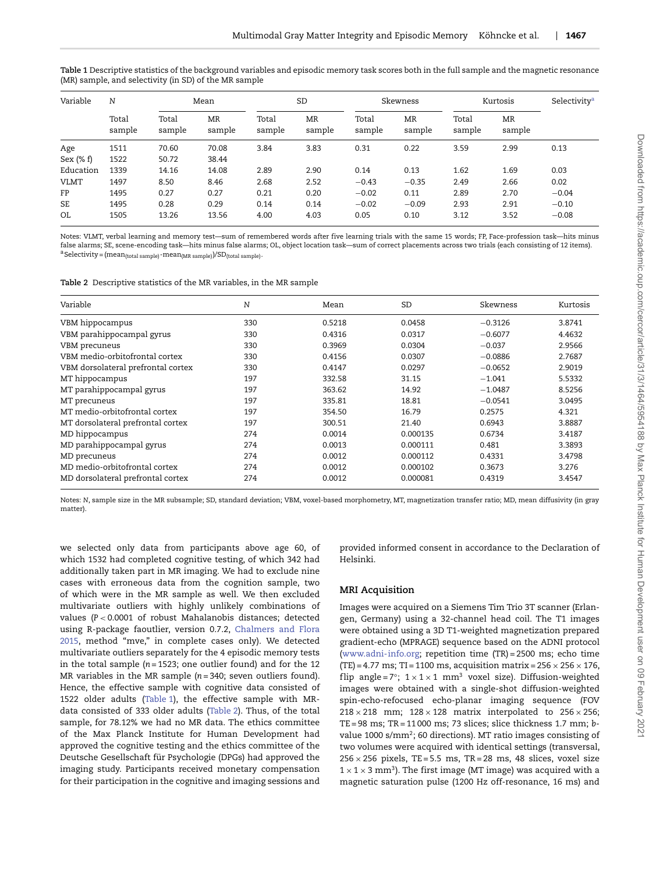<span id="page-3-0"></span>**Table 1** Descriptive statistics of the background variables and episodic memory task scores both in the full sample and the magnetic resonance (MR) sample, and selectivity (in SD) of the MR sample

| Variable     | N               | Mean            |              |                 | <b>SD</b>    |                 | Skewness     | Kurtosis        | Selectivity® |         |
|--------------|-----------------|-----------------|--------------|-----------------|--------------|-----------------|--------------|-----------------|--------------|---------|
|              | Total<br>sample | Total<br>sample | MR<br>sample | Total<br>sample | MR<br>sample | Total<br>sample | MR<br>sample | Total<br>sample | MR<br>sample |         |
| Age          | 1511            | 70.60           | 70.08        | 3.84            | 3.83         | 0.31            | 0.22         | 3.59            | 2.99         | 0.13    |
| Sex $(\% f)$ | 1522            | 50.72           | 38.44        |                 |              |                 |              |                 |              |         |
| Education    | 1339            | 14.16           | 14.08        | 2.89            | 2.90         | 0.14            | 0.13         | 1.62            | 1.69         | 0.03    |
| <b>VLMT</b>  | 1497            | 8.50            | 8.46         | 2.68            | 2.52         | $-0.43$         | $-0.35$      | 2.49            | 2.66         | 0.02    |
| FP           | 1495            | 0.27            | 0.27         | 0.21            | 0.20         | $-0.02$         | 0.11         | 2.89            | 2.70         | $-0.04$ |
| <b>SE</b>    | 1495            | 0.28            | 0.29         | 0.14            | 0.14         | $-0.02$         | $-0.09$      | 2.93            | 2.91         | $-0.10$ |
| <b>OL</b>    | 1505            | 13.26           | 13.56        | 4.00            | 4.03         | 0.05            | 0.10         | 3.12            | 3.52         | $-0.08$ |

Notes: VLMT, verbal learning and memory test—sum of remembered words after five learning trials with the same 15 words; FP, Face-profession task—hits minus false alarms; SE, scene-encoding task—hits minus false alarms; OL, object location task—sum of correct placements across two trials (each consisting of 12 items).  $\texttt{aSelectivity} = (\text{mean}_{(\text{total sample})}\cdot \text{mean}_{(\text{MR sample})})/\text{SD}_{(\text{total sample})}\cdot \text{mean}_{(\text{total sample})}$ 

<span id="page-3-1"></span>**Table 2** Descriptive statistics of the MR variables, in the MR sample

| Variable                           | N   | Mean   | <b>SD</b> | Skewness  | Kurtosis |
|------------------------------------|-----|--------|-----------|-----------|----------|
| VBM hippocampus                    | 330 | 0.5218 | 0.0458    | $-0.3126$ | 3.8741   |
| VBM parahippocampal gyrus          | 330 | 0.4316 | 0.0317    | $-0.6077$ | 4.4632   |
| VBM precuneus                      | 330 | 0.3969 | 0.0304    | $-0.037$  | 2.9566   |
| VBM medio-orbitofrontal cortex     | 330 | 0.4156 | 0.0307    | $-0.0886$ | 2.7687   |
| VBM dorsolateral prefrontal cortex | 330 | 0.4147 | 0.0297    | $-0.0652$ | 2.9019   |
| MT hippocampus                     | 197 | 332.58 | 31.15     | $-1.041$  | 5.5332   |
| MT parahippocampal gyrus           | 197 | 363.62 | 14.92     | $-1.0487$ | 8.5256   |
| MT precuneus                       | 197 | 335.81 | 18.81     | $-0.0541$ | 3.0495   |
| MT medio-orbitofrontal cortex      | 197 | 354.50 | 16.79     | 0.2575    | 4.321    |
| MT dorsolateral prefrontal cortex  | 197 | 300.51 | 21.40     | 0.6943    | 3.8887   |
| MD hippocampus                     | 274 | 0.0014 | 0.000135  | 0.6734    | 3.4187   |
| MD parahippocampal gyrus           | 274 | 0.0013 | 0.000111  | 0.481     | 3.3893   |
| MD precuneus                       | 274 | 0.0012 | 0.000112  | 0.4331    | 3.4798   |
| MD medio-orbitofrontal cortex      | 274 | 0.0012 | 0.000102  | 0.3673    | 3.276    |
| MD dorsolateral prefrontal cortex  | 274 | 0.0012 | 0.000081  | 0.4319    | 3.4547   |

Notes: *N*, sample size in the MR subsample; SD, standard deviation; VBM, voxel-based morphometry, MT, magnetization transfer ratio; MD, mean diffusivity (in gray matter).

we selected only data from participants above age 60, of which 1532 had completed cognitive testing, of which 342 had additionally taken part in MR imaging. We had to exclude nine cases with erroneous data from the cognition sample, two of which were in the MR sample as well. We then excluded multivariate outliers with highly unlikely combinations of values (*P <* 0.0001 of robust Mahalanobis distances; detected using R-package faoutlier, version 0.7.2, Chalmers and Flora [2015, method "mve," in complete cases only\). We detected](#page-11-18) multivariate outliers separately for the 4 episodic memory tests in the total sample (*n* = 1523; one outlier found) and for the 12 MR variables in the MR sample (*n* = 340; seven outliers found). Hence, the effective sample with cognitive data consisted of 1522 older adults [\(Table 1\)](#page-3-0), the effective sample with MRdata consisted of 333 older adults [\(Table 2\)](#page-3-1). Thus, of the total sample, for 78.12% we had no MR data. The ethics committee of the Max Planck Institute for Human Development had approved the cognitive testing and the ethics committee of the Deutsche Gesellschaft für Psychologie (DPGs) had approved the imaging study. Participants received monetary compensation for their participation in the cognitive and imaging sessions and

provided informed consent in accordance to the Declaration of Helsinki.

#### **MRI Acquisition**

Images were acquired on a Siemens Tim Trio 3T scanner (Erlangen, Germany) using a 32-channel head coil. The T1 images were obtained using a 3D T1-weighted magnetization prepared gradient-echo (MPRAGE) sequence based on the ADNI protocol [\(www.adni-info.org;](www.adni-info.org) repetition time (TR) = 2500 ms; echo time (TE) = 4.77 ms; TI = 1100 ms, acquisition matrix =  $256 \times 256 \times 176$ , flip angle =  $7^\circ$ ;  $1 \times 1 \times 1$  mm<sup>3</sup> voxel size). Diffusion-weighted images were obtained with a single-shot diffusion-weighted spin-echo-refocused echo-planar imaging sequence (FOV  $218 \times 218$  mm;  $128 \times 128$  matrix interpolated to  $256 \times 256$ ; TE = 98 ms; TR = 11 000 ms; 73 slices; slice thickness 1.7 mm; *b*value 1000 s/mm2; 60 directions). MT ratio images consisting of two volumes were acquired with identical settings (transversal,  $256 \times 256$  pixels, TE=5.5 ms, TR=28 ms, 48 slices, voxel size  $1 \times 1 \times 3$  mm<sup>3</sup>). The first image (MT image) was acquired with a magnetic saturation pulse (1200 Hz off-resonance, 16 ms) and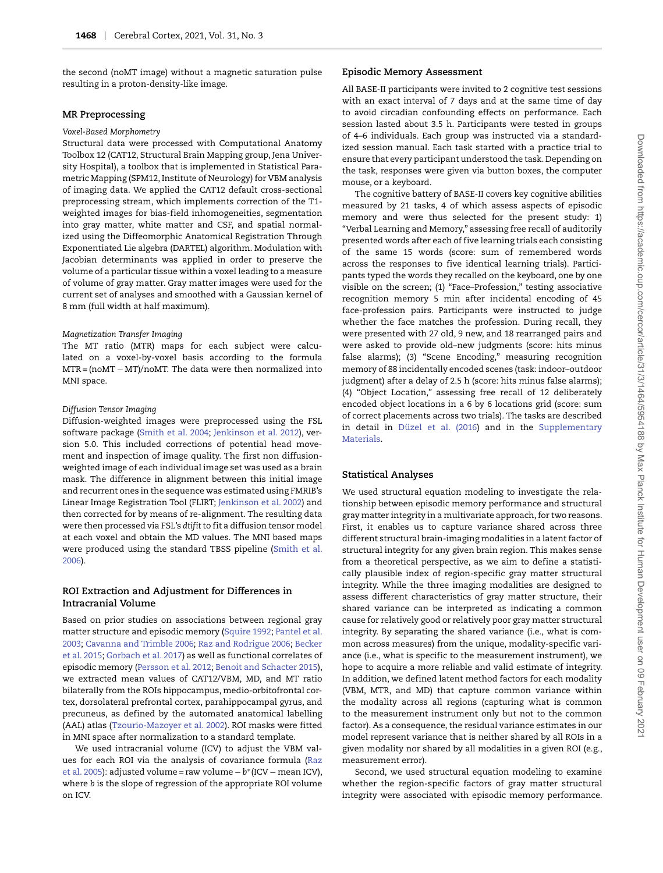the second (noMT image) without a magnetic saturation pulse resulting in a proton-density-like image.

#### **MR Preprocessing**

## *Voxel-Based Morphometry*

Structural data were processed with Computational Anatomy Toolbox 12 (CAT12, Structural Brain Mapping group, Jena University Hospital), a toolbox that is implemented in Statistical Parametric Mapping (SPM12, Institute of Neurology) for VBM analysis of imaging data. We applied the CAT12 default cross-sectional preprocessing stream, which implements correction of the T1 weighted images for bias-field inhomogeneities, segmentation into gray matter, white matter and CSF, and spatial normalized using the Diffeomorphic Anatomical Registration Through Exponentiated Lie algebra (DARTEL) algorithm. Modulation with Jacobian determinants was applied in order to preserve the volume of a particular tissue within a voxel leading to a measure of volume of gray matter. Gray matter images were used for the current set of analyses and smoothed with a Gaussian kernel of 8 mm (full width at half maximum).

#### *Magnetization Transfer Imaging*

The MT ratio (MTR) maps for each subject were calculated on a voxel-by-voxel basis according to the formula MTR = (noMT − MT)/noMT. The data were then normalized into MNI space.

#### *Diffusion Tensor Imaging*

Diffusion-weighted images were preprocessed using the FSL software package [\(Smith et al. 2004;](#page-13-15) [Jenkinson et al. 2012\)](#page-12-20), version 5.0. This included corrections of potential head movement and inspection of image quality. The first non diffusionweighted image of each individual image set was used as a brain mask. The difference in alignment between this initial image and recurrent ones in the sequence was estimated using FMRIB's Linear Image Registration Tool (FLIRT; [Jenkinson et al. 2002\)](#page-12-21) and then corrected for by means of re-alignment. The resulting data were then processed via FSL's *dtifit* to fit a diffusion tensor model at each voxel and obtain the MD values. The MNI based maps [were produced using the standard TBSS pipeline \(Smith et al.](#page-13-16) 2006).

## **ROI Extraction and Adjustment for Differences in Intracranial Volume**

Based on prior studies on associations between regional gray [matter structure and episodic memory \(](#page-12-22)[Squire 1992](#page-13-5)[;](#page-12-22) Pantel et al. 2003; [Cavanna and Trimble 2006;](#page-11-12) [Raz and Rodrigue 2006;](#page-13-17) Becker et al. 2015; [Gorbach et al. 2017\) as well as functional correlates of](#page-11-11) episodic memory [\(Persson et al. 2012;](#page-12-8) [Benoit and Schacter 2015\)](#page-11-5), we extracted mean values of CAT12/VBM, MD, and MT ratio bilaterally from the ROIs hippocampus, medio-orbitofrontal cortex, dorsolateral prefrontal cortex, parahippocampal gyrus, and precuneus, as defined by the automated anatomical labelling (AAL) atlas [\(Tzourio-Mazoyer et al. 2002\)](#page-13-18). ROI masks were fitted in MNI space after normalization to a standard template.

We used intracranial volume (ICV) to adjust the VBM val[ues for each ROI via the analysis of covariance formula \(Raz](#page-13-3) et al. 2005): adjusted volume = raw volume − *b*∗(ICV − mean ICV), where *b* is the slope of regression of the appropriate ROI volume on ICV.

#### **Episodic Memory Assessment**

All BASE-II participants were invited to 2 cognitive test sessions with an exact interval of 7 days and at the same time of day to avoid circadian confounding effects on performance. Each session lasted about 3.5 h. Participants were tested in groups of 4–6 individuals. Each group was instructed via a standardized session manual. Each task started with a practice trial to ensure that every participant understood the task. Depending on the task, responses were given via button boxes, the computer mouse, or a keyboard.

The cognitive battery of BASE-II covers key cognitive abilities measured by 21 tasks, 4 of which assess aspects of episodic memory and were thus selected for the present study: 1) "Verbal Learning and Memory," assessing free recall of auditorily presented words after each of five learning trials each consisting of the same 15 words (score: sum of remembered words across the responses to five identical learning trials). Participants typed the words they recalled on the keyboard, one by one visible on the screen; (1) "Face–Profession," testing associative recognition memory 5 min after incidental encoding of 45 face-profession pairs. Participants were instructed to judge whether the face matches the profession. During recall, they were presented with 27 old, 9 new, and 18 rearranged pairs and were asked to provide old–new judgments (score: hits minus false alarms); (3) "Scene Encoding," measuring recognition memory of 88 incidentally encoded scenes (task: indoor–outdoor judgment) after a delay of 2.5 h (score: hits minus false alarms); (4) "Object Location," assessing free recall of 12 deliberately encoded object locations in a 6 by 6 locations grid (score: sum of correct placements across two trials). The tasks are described in detail in [Düzel et al. \(2016](#page-11-17)[\) and in the](https://academic.oup.com/cercor/article-lookup/doi/10.1093/cercor/bhaa287#supplementary-data) Supplementary Materials.

#### **Statistical Analyses**

We used structural equation modeling to investigate the relationship between episodic memory performance and structural gray matter integrity in a multivariate approach, for two reasons. First, it enables us to capture variance shared across three different structural brain-imaging modalities in a latent factor of structural integrity for any given brain region. This makes sense from a theoretical perspective, as we aim to define a statistically plausible index of region-specific gray matter structural integrity. While the three imaging modalities are designed to assess different characteristics of gray matter structure, their shared variance can be interpreted as indicating a common cause for relatively good or relatively poor gray matter structural integrity. By separating the shared variance (i.e., what is common across measures) from the unique, modality-specific variance (i.e., what is specific to the measurement instrument), we hope to acquire a more reliable and valid estimate of integrity. In addition, we defined latent method factors for each modality (VBM, MTR, and MD) that capture common variance within the modality across all regions (capturing what is common to the measurement instrument only but not to the common factor). As a consequence, the residual variance estimates in our model represent variance that is neither shared by all ROIs in a given modality nor shared by all modalities in a given ROI (e.g., measurement error).

Second, we used structural equation modeling to examine whether the region-specific factors of gray matter structural integrity were associated with episodic memory performance.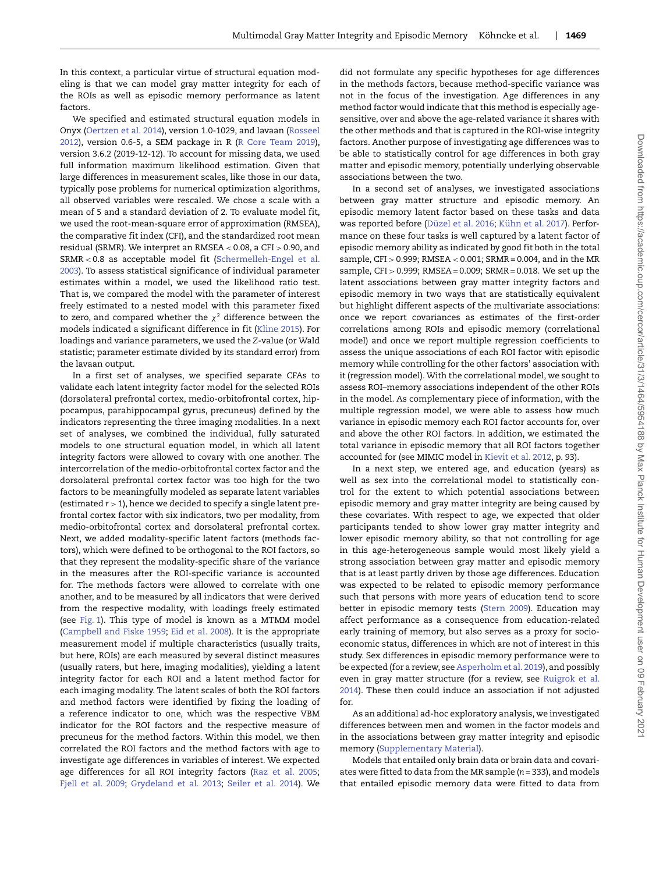In this context, a particular virtue of structural equation modeling is that we can model gray matter integrity for each of the ROIs as well as episodic memory performance as latent factors.

We specified and estimated structural equation models in Onyx [\(Oertzen et al. 2014\)](#page-12-23), version 1.0-1029, and lavaan (Rosseel [2012\), version 0.6-5, a SEM package in R \(R Core Team 2019\),](#page-13-19) version 3.6.2 (2019-12-12). To account for missing data, we used full information maximum likelihood estimation. Given that large differences in measurement scales, like those in our data, typically pose problems for numerical optimization algorithms, all observed variables were rescaled. We chose a scale with a mean of 5 and a standard deviation of 2. To evaluate model fit, we used the root-mean-square error of approximation (RMSEA), the comparative fit index (CFI), and the standardized root mean residual (SRMR). We interpret an RMSEA *<* 0.08, a CFI *>* 0.90, and SRMR *<* 0.8 as acceptable model fit (Schermelleh-Engel et al. [2003\). To assess statistical significance of individual parameter](#page-13-21) estimates within a model, we used the likelihood ratio test. That is, we compared the model with the parameter of interest freely estimated to a nested model with this parameter fixed to zero, and compared whether the *χ*<sup>2</sup> difference between the models indicated a significant difference in fit [\(Kline 2015\)](#page-12-24). For loadings and variance parameters, we used the *Z*-value (or Wald statistic; parameter estimate divided by its standard error) from the lavaan output.

In a first set of analyses, we specified separate CFAs to validate each latent integrity factor model for the selected ROIs (dorsolateral prefrontal cortex, medio-orbitofrontal cortex, hippocampus, parahippocampal gyrus, precuneus) defined by the indicators representing the three imaging modalities. In a next set of analyses, we combined the individual, fully saturated models to one structural equation model, in which all latent integrity factors were allowed to covary with one another. The intercorrelation of the medio-orbitofrontal cortex factor and the dorsolateral prefrontal cortex factor was too high for the two factors to be meaningfully modeled as separate latent variables (estimated *r >* 1), hence we decided to specify a single latent prefrontal cortex factor with six indicators, two per modality, from medio-orbitofrontal cortex and dorsolateral prefrontal cortex. Next, we added modality-specific latent factors (methods factors), which were defined to be orthogonal to the ROI factors, so that they represent the modality-specific share of the variance in the measures after the ROI-specific variance is accounted for. The methods factors were allowed to correlate with one another, and to be measured by all indicators that were derived from the respective modality, with loadings freely estimated (see Fig. 1). This type of model is known as a MTMM model [\(Campbell and Fiske 1959;](#page-11-2) [Eid et al. 2008\)](#page-11-3). It is the appropriate measurement model if multiple characteristics (usually traits, but here, ROIs) are each measured by several distinct measures (usually raters, but here, imaging modalities), yielding a latent integrity factor for each ROI and a latent method factor for each imaging modality. The latent scales of both the ROI factors and method factors were identified by fixing the loading of a reference indicator to one, which was the respective VBM indicator for the ROI factors and the respective measure of precuneus for the method factors. Within this model, we then correlated the ROI factors and the method factors with age to investigate age differences in variables of interest. We expected age differences for all ROI integrity factors [\(Raz et al. 2005;](#page-13-3) [Fjell et al. 2009;](#page-12-5) [Grydeland et al. 2013;](#page-12-11) [Seiler et al. 2014\)](#page-13-11). We did not formulate any specific hypotheses for age differences in the methods factors, because method-specific variance was not in the focus of the investigation. Age differences in any method factor would indicate that this method is especially agesensitive, over and above the age-related variance it shares with the other methods and that is captured in the ROI-wise integrity factors. Another purpose of investigating age differences was to be able to statistically control for age differences in both gray matter and episodic memory, potentially underlying observable associations between the two.

In a second set of analyses, we investigated associations between gray matter structure and episodic memory. An episodic memory latent factor based on these tasks and data was reported before [\(Düzel et al. 2016;](#page-11-17) [Kühn et al. 2017\)](#page-12-25). Performance on these four tasks is well captured by a latent factor of episodic memory ability as indicated by good fit both in the total sample, CFI *>* 0.999; RMSEA *<* 0.001; SRMR = 0.004, and in the MR sample, CFI *>* 0.999; RMSEA = 0.009; SRMR = 0.018. We set up the latent associations between gray matter integrity factors and episodic memory in two ways that are statistically equivalent but highlight different aspects of the multivariate associations: once we report covariances as estimates of the first-order correlations among ROIs and episodic memory (correlational model) and once we report multiple regression coefficients to assess the unique associations of each ROI factor with episodic memory while controlling for the other factors' association with it (regression model). With the correlational model, we sought to assess ROI–memory associations independent of the other ROIs in the model. As complementary piece of information, with the multiple regression model, we were able to assess how much variance in episodic memory each ROI factor accounts for, over and above the other ROI factors. In addition, we estimated the total variance in episodic memory that all ROI factors together accounted for (see MIMIC model in [Kievit et al. 2012,](#page-12-26) p. 93).

In a next step, we entered age, and education (years) as well as sex into the correlational model to statistically control for the extent to which potential associations between episodic memory and gray matter integrity are being caused by these covariates. With respect to age, we expected that older participants tended to show lower gray matter integrity and lower episodic memory ability, so that not controlling for age in this age-heterogeneous sample would most likely yield a strong association between gray matter and episodic memory that is at least partly driven by those age differences. Education was expected to be related to episodic memory performance such that persons with more years of education tend to score better in episodic memory tests [\(Stern 2009\)](#page-13-22). Education may affect performance as a consequence from education-related early training of memory, but also serves as a proxy for socioeconomic status, differences in which are not of interest in this study. Sex differences in episodic memory performance were to be expected (for a review, see [Asperholm et al. 2019\)](#page-11-19), and possibly even in gray matter structure (for a review, see Ruigrok et al. [2014\). These then could induce an association if not adjusted](#page-13-23) for.

As an additional ad-hoc exploratory analysis, we investigated differences between men and women in the factor models and in the associations between gray matter integrity and episodic memory [\(Supplementary Material\)](https://academic.oup.com/cercor/article-lookup/doi/10.1093/cercor/bhaa287#supplementary-data).

Models that entailed only brain data or brain data and covariates were fitted to data from the MR sample (*n* = 333), and models that entailed episodic memory data were fitted to data from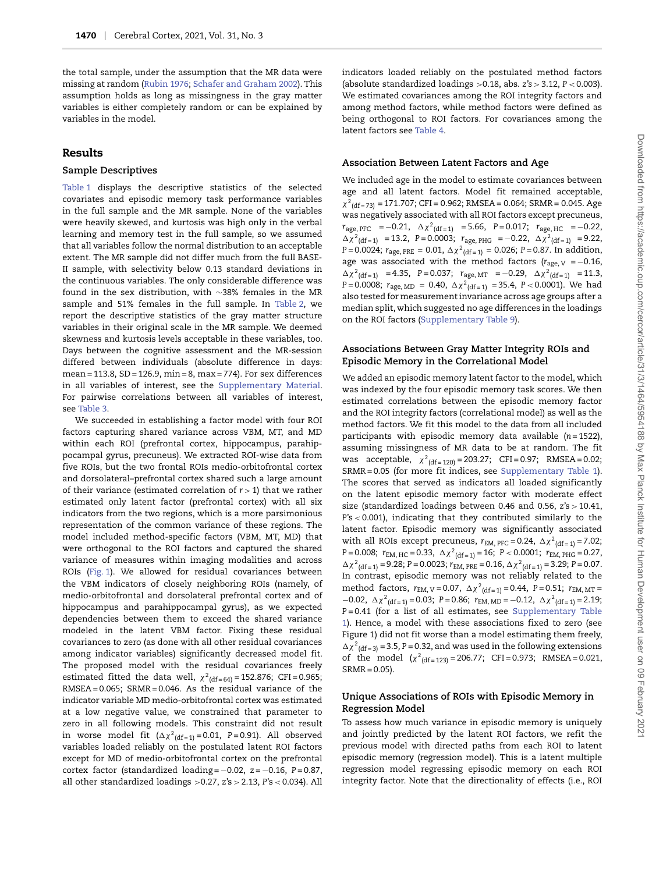the total sample, under the assumption that the MR data were missing at random [\(Rubin 1976;](#page-13-24) [Schafer and Graham 2002\)](#page-13-25). This assumption holds as long as missingness in the gray matter variables is either completely random or can be explained by variables in the model.

## **Results**

## **Sample Descriptives**

[Table 1](#page-3-0) displays the descriptive statistics of the selected covariates and episodic memory task performance variables in the full sample and the MR sample. None of the variables were heavily skewed, and kurtosis was high only in the verbal learning and memory test in the full sample, so we assumed that all variables follow the normal distribution to an acceptable extent. The MR sample did not differ much from the full BASE-II sample, with selectivity below 0.13 standard deviations in the continuous variables. The only considerable difference was found in the sex distribution, with ∼38% females in the MR sample and 51% females in the full sample. In [Table 2,](#page-3-1) we report the descriptive statistics of the gray matter structure variables in their original scale in the MR sample. We deemed skewness and kurtosis levels acceptable in these variables, too. Days between the cognitive assessment and the MR-session differed between individuals (absolute difference in days: mean = 113.8, SD = 126.9, min = 8, max = 774). For sex differences in all variables of interest, see the [Supplementary Material.](https://academic.oup.com/cercor/article-lookup/doi/10.1093/cercor/bhaa287#supplementary-data) For pairwise correlations between all variables of interest, see [Table 3.](#page-7-0)

We succeeded in establishing a factor model with four ROI factors capturing shared variance across VBM, MT, and MD within each ROI (prefrontal cortex, hippocampus, parahippocampal gyrus, precuneus). We extracted ROI-wise data from five ROIs, but the two frontal ROIs medio-orbitofrontal cortex and dorsolateral–prefrontal cortex shared such a large amount of their variance (estimated correlation of *r >* 1) that we rather estimated only latent factor (prefrontal cortex) with all six indicators from the two regions, which is a more parsimonious representation of the common variance of these regions. The model included method-specific factors (VBM, MT, MD) that were orthogonal to the ROI factors and captured the shared variance of measures within imaging modalities and across ROIs (Fig. 1). We allowed for residual covariances between the VBM indicators of closely neighboring ROIs (namely, of medio-orbitofrontal and dorsolateral prefrontal cortex and of hippocampus and parahippocampal gyrus), as we expected dependencies between them to exceed the shared variance modeled in the latent VBM factor. Fixing these residual covariances to zero (as done with all other residual covariances among indicator variables) significantly decreased model fit. The proposed model with the residual covariances freely estimated fitted the data well,  $\chi^2_{\rm (df=64)}$ =152.876; CFI=0.965; RMSEA = 0.065; SRMR = 0.046. As the residual variance of the indicator variable MD medio-orbitofrontal cortex was estimated at a low negative value, we constrained that parameter to zero in all following models. This constraint did not result in worse model fit (*χ*<sup>2</sup> (df = 1) = 0.01, *P* = 0.91). All observed variables loaded reliably on the postulated latent ROI factors except for MD of medio-orbitofrontal cortex on the prefrontal cortex factor (standardized loading = −0.02, *z* = −0.16, *P* = 0.87, all other standardized loadings *>*0.27, *z*'s *>* 2.13, *P*'s *<* 0.034). All

indicators loaded reliably on the postulated method factors (absolute standardized loadings *>*0.18, abs. *z's >* 3.12, *P <* 0.003). We estimated covariances among the ROI integrity factors and among method factors, while method factors were defined as being orthogonal to ROI factors. For covariances among the latent factors see [Table 4.](#page-8-0)

#### **Association Between Latent Factors and Age**

We included age in the model to estimate covariances between age and all latent factors. Model fit remained acceptable,  $\chi^2$ <sub>(df = 73)</sub> = 171.707; CFI = 0.962; RMSEA = 0.064; SRMR = 0.045. Age was negatively associated with all ROI factors except precuneus,  $r_{\text{age, PFC}} = -0.21$ ,  $\Delta \chi^2_{\text{(df=1)}} = 5.66$ ,  $P = 0.017$ ;  $r_{\text{age, HC}} = -0.22$ ,  $\Delta \chi^2$ <sub>(df = 1)</sub> = 13.2, *P* = 0.0003; *r*<sub>age, PHG</sub> = -0.22,  $\Delta \chi^2$ <sub>(df = 1)</sub> = 9.22, *P* = 0.0024; *r*age, PRE = 0.01, *χ*<sup>2</sup> (df = 1) = 0.026; *P* = 0.87. In addition, age was associated with the method factors ( $r_{\text{age, V}} = -0.16$ ,  $\Delta \chi^2$ <sub>(df = 1)</sub> = 4.35, *P* = 0.037; *r*<sub>age, MT</sub> = -0.29,  $\Delta \chi^2$ <sub>(df = 1)</sub> = 11.3, *P* = 0.0008; *r*age, MD = 0.40, *χ*<sup>2</sup> (df = 1) = 35.4, *P <* 0.0001). We had also tested for measurement invariance across age groups after a median split, which suggested no age differences in the loadings on the ROI factors [\(Supplementary Table 9\)](https://academic.oup.com/cercor/article-lookup/doi/10.1093/cercor/bhaa287#supplementary-data).

## **Associations Between Gray Matter Integrity ROIs and Episodic Memory in the Correlational Model**

We added an episodic memory latent factor to the model, which was indexed by the four episodic memory task scores. We then estimated correlations between the episodic memory factor and the ROI integrity factors (correlational model) as well as the method factors. We fit this model to the data from all included participants with episodic memory data available (n = 1522), assuming missingness of MR data to be at random. The fit was acceptable, *χ*<sup>2</sup><sub>(df=120)</sub>=203.27; CFI=0.97; RMSEA=0.02; SRMR = 0.05 (for more fit indices, see [Supplementary Table 1\)](https://academic.oup.com/cercor/article-lookup/doi/10.1093/cercor/bhaa287#supplementary-data). The scores that served as indicators all loaded significantly on the latent episodic memory factor with moderate effect size (standardized loadings between 0.46 and 0.56, *z*'s *>* 10.41, *P*'s *<* 0.001), indicating that they contributed similarly to the latent factor. Episodic memory was significantly associated with all ROIs except precuneus,  $r_{\text{EM, PFC}} = 0.24$ ,  $\Delta \chi^2_{\text{(df=1)}} = 7.02$ ; *P* = 0.008; *r*<sub>EM, HC</sub> = 0.33,  $\Delta \chi^2$ <sub>(df = 1)</sub> = 16; *P* < 0.0001; *r*<sub>EM, PHG</sub> = 0.27,  $\Delta \chi^2$ <sub>(df = 1)</sub> = 9.28; *P* = 0.0023;  $r_{EM,PRE}$  = 0.16,  $\Delta \chi^2$ <sub>(df = 1)</sub> = 3.29; *P* = 0.07. In contrast, episodic memory was not reliably related to the  $\text{method factors, } r_{\text{EM, V}} = 0.07, \Delta \chi^2_{\text{(df=1)}} = 0.44, P = 0.51; r_{\text{EM, MT}} = 0.07$  $-0.02$ ,  $Δχ²$ <sub>(df = 1)</sub> = 0.03; *P* = 0.86; *r*<sub>EM, MD</sub> =  $-0.12$ ,  $Δχ²$ <sub>(df = 1)</sub> = 2.19; *P* = 0.41 (for a list of all estimates, see Supplementary Table [1\). Hence, a model with these associations fixed to zero \(see](https://academic.oup.com/cercor/article-lookup/doi/10.1093/cercor/bhaa287#supplementary-data) Figure 1) did not fit worse than a model estimating them freely,  $\Delta \chi^2$ <sub>(df = 3)</sub> = 3.5, P = 0.32, and was used in the following extensions of the model  $(\chi^2_{\text{(df = 123)}} = 206.77; \text{ CFI} = 0.973; \text{RMSEA} = 0.021,$  $SRMR = 0.05$ ).

## **Unique Associations of ROIs with Episodic Memory in Regression Model**

To assess how much variance in episodic memory is uniquely and jointly predicted by the latent ROI factors, we refit the previous model with directed paths from each ROI to latent episodic memory (regression model). This is a latent multiple regression model regressing episodic memory on each ROI integrity factor. Note that the directionality of effects (i.e., ROI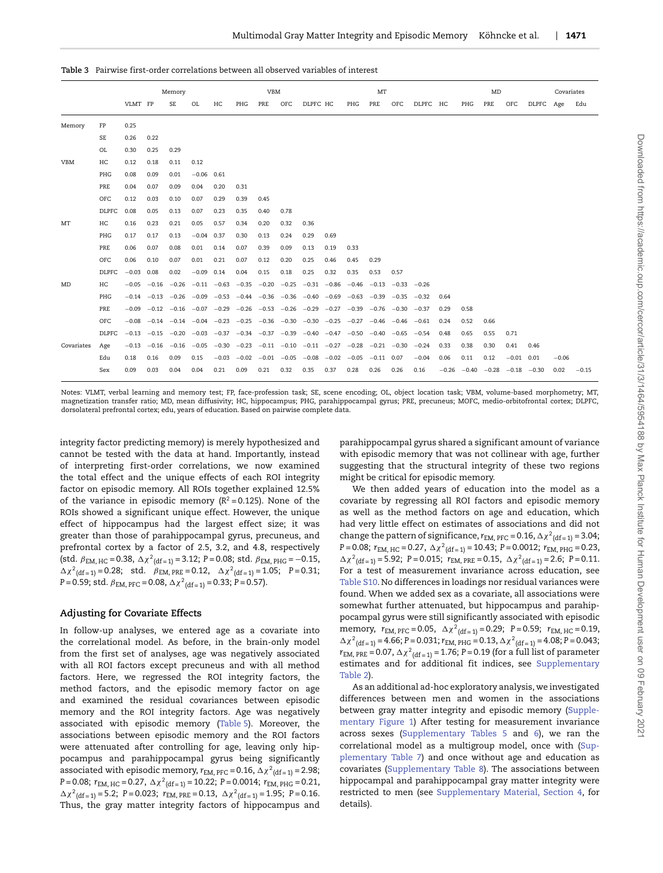|            |              | Memory       |      |                                                                         | <b>VBM</b>   |      |                                                                      |      |      | MT       |      |      |      | MD                                                                                                              |          |      |      | Covariates                              |              |           |         |         |
|------------|--------------|--------------|------|-------------------------------------------------------------------------|--------------|------|----------------------------------------------------------------------|------|------|----------|------|------|------|-----------------------------------------------------------------------------------------------------------------|----------|------|------|-----------------------------------------|--------------|-----------|---------|---------|
|            |              | VLMT FP      |      | SE                                                                      | OL           | HC   | PHG                                                                  | PRE  | OFC  | DLPFC HC |      | PHG  | PRE  | OFC                                                                                                             | DLPFC HC |      | PHG  | PRE                                     | OFC          | DLPFC Age |         | Edu     |
| Memory     | FP           | 0.25         |      |                                                                         |              |      |                                                                      |      |      |          |      |      |      |                                                                                                                 |          |      |      |                                         |              |           |         |         |
|            | SE           | 0.26         | 0.22 |                                                                         |              |      |                                                                      |      |      |          |      |      |      |                                                                                                                 |          |      |      |                                         |              |           |         |         |
|            | OL.          | 0.30         | 0.25 | 0.29                                                                    |              |      |                                                                      |      |      |          |      |      |      |                                                                                                                 |          |      |      |                                         |              |           |         |         |
| <b>VBM</b> | HC           | 0.12         | 0.18 | 0.11                                                                    | 0.12         |      |                                                                      |      |      |          |      |      |      |                                                                                                                 |          |      |      |                                         |              |           |         |         |
|            | PHG          | 0.08         | 0.09 | 0.01                                                                    | $-0.06$ 0.61 |      |                                                                      |      |      |          |      |      |      |                                                                                                                 |          |      |      |                                         |              |           |         |         |
|            | PRE          | 0.04         | 0.07 | 0.09                                                                    | 0.04         | 0.20 | 0.31                                                                 |      |      |          |      |      |      |                                                                                                                 |          |      |      |                                         |              |           |         |         |
|            | <b>OFC</b>   | 0.12         | 0.03 | 0.10                                                                    | 0.07         | 0.29 | 0.39                                                                 | 0.45 |      |          |      |      |      |                                                                                                                 |          |      |      |                                         |              |           |         |         |
|            | DLPFC        | 0.08         | 0.05 | 0.13                                                                    | 0.07         | 0.23 | 0.35                                                                 | 0.40 | 0.78 |          |      |      |      |                                                                                                                 |          |      |      |                                         |              |           |         |         |
| MT         | HC           | 0.16         | 0.23 | 0.21                                                                    | 0.05         | 0.57 | 0.34                                                                 | 0.20 | 0.32 | 0.36     |      |      |      |                                                                                                                 |          |      |      |                                         |              |           |         |         |
|            | PHG          | 0.17         | 0.17 | 0.13                                                                    | $-0.04$ 0.37 |      | 0.30                                                                 | 0.13 | 0.24 | 0.29     | 0.69 |      |      |                                                                                                                 |          |      |      |                                         |              |           |         |         |
|            | PRE          | 0.06         | 0.07 | 0.08                                                                    | 0.01         | 0.14 | 0.07                                                                 | 0.39 | 0.09 | 0.13     | 0.19 | 0.33 |      |                                                                                                                 |          |      |      |                                         |              |           |         |         |
|            | OFC          | 0.06         | 0.10 | 0.07                                                                    | 0.01         | 0.21 | 0.07                                                                 | 0.12 | 0.20 | 0.25     | 0.46 | 0.45 | 0.29 |                                                                                                                 |          |      |      |                                         |              |           |         |         |
|            | <b>DLPFC</b> | $-0.03$ 0.08 |      | 0.02                                                                    | $-0.09$ 0.14 |      | 0.04                                                                 | 0.15 | 0.18 | 0.25     | 0.32 | 0.35 | 0.53 | 0.57                                                                                                            |          |      |      |                                         |              |           |         |         |
| MD         | HC           | $-0.05$      |      | $-0.16$ $-0.26$ $-0.11$ $-0.63$ $-0.35$ $-0.20$ $-0.25$ $-0.31$ $-0.86$ |              |      |                                                                      |      |      |          |      |      |      | $-0.46$ $-0.13$ $-0.33$ $-0.26$                                                                                 |          |      |      |                                         |              |           |         |         |
|            | PHG          |              |      |                                                                         |              |      |                                                                      |      |      |          |      |      |      | $-0.14$ $-0.13$ $-0.26$ $-0.09$ $-0.53$ $-0.44$ $-0.36$ $-0.36$ $-0.40$ $-0.69$ $-0.63$ $-0.39$ $-0.35$ $-0.32$ |          | 0.64 |      |                                         |              |           |         |         |
|            | PRE          | $-0.09$      |      |                                                                         |              |      |                                                                      |      |      |          |      |      |      | $-0.12$ $-0.16$ $-0.07$ $-0.29$ $-0.26$ $-0.53$ $-0.26$ $-0.29$ $-0.27$ $-0.39$ $-0.76$ $-0.30$ $-0.37$         |          | 0.29 | 0.58 |                                         |              |           |         |         |
|            | <b>OFC</b>   | $-0.08$      |      |                                                                         |              |      |                                                                      |      |      |          |      |      |      | $-0.14$ $-0.14$ $-0.04$ $-0.23$ $-0.25$ $-0.36$ $-0.30$ $-0.30$ $-0.25$ $-0.27$ $-0.46$ $-0.46$ $-0.61$         |          | 0.24 | 0.52 | 0.66                                    |              |           |         |         |
|            | <b>DLPFC</b> | $-0.13$      |      | $-0.15$ $-0.20$ $-0.03$ $-0.37$ $-0.34$ $-0.37$ $-0.39$ $-0.40$ $-0.47$ |              |      |                                                                      |      |      |          |      |      |      | $-0.50$ $-0.40$ $-0.65$ $-0.54$                                                                                 |          | 0.48 | 0.65 | 0.55                                    | 0.71         |           |         |         |
| Covariates | Age          | $-0.13$      |      |                                                                         |              |      |                                                                      |      |      |          |      |      |      | $-0.16$ $-0.16$ $-0.05$ $-0.30$ $-0.23$ $-0.11$ $-0.10$ $-0.11$ $-0.27$ $-0.28$ $-0.21$ $-0.30$ $-0.24$         |          | 0.33 | 0.38 | 0.30                                    | 0.41         | 0.46      |         |         |
|            | Edu          | 0.18         | 0.16 | 0.09                                                                    | 0.15         |      | $-0.03$ $-0.02$ $-0.01$ $-0.05$ $-0.08$ $-0.02$ $-0.05$ $-0.11$ 0.07 |      |      |          |      |      |      |                                                                                                                 | $-0.04$  | 0.06 | 0.11 | 0.12                                    | $-0.01$ 0.01 |           | $-0.06$ |         |
|            | Sex          | 0.09         | 0.03 | 0.04                                                                    | 0.04         | 0.21 | 0.09                                                                 | 0.21 | 0.32 | 0.35     | 0.37 | 0.28 | 0.26 | 0.26                                                                                                            | 0.16     |      |      | $-0.26$ $-0.40$ $-0.28$ $-0.18$ $-0.30$ |              |           | 0.02    | $-0.15$ |

<span id="page-7-0"></span>**Table 3** Pairwise first-order correlations between all observed variables of interest

Notes: VLMT, verbal learning and memory test; FP, face-profession task; SE, scene encoding; OL, object location task; VBM, volume-based morphometry; MT, magnetization transfer ratio; MD, mean diffusivity; HC, hippocampus; PHG, parahippocampal gyrus; PRE, precuneus; MOFC, medio-orbitofrontal cortex; DLPFC, dorsolateral prefrontal cortex; edu, years of education. Based on pairwise complete data.

integrity factor predicting memory) is merely hypothesized and cannot be tested with the data at hand. Importantly, instead of interpreting first-order correlations, we now examined the total effect and the unique effects of each ROI integrity factor on episodic memory. All ROIs together explained 12.5% of the variance in episodic memory  $(R^2 = 0.125)$ . None of the ROIs showed a significant unique effect. However, the unique effect of hippocampus had the largest effect size; it was greater than those of parahippocampal gyrus, precuneus, and prefrontal cortex by a factor of 2.5, 3.2, and 4.8, respectively (std. *β*EM, HC = 0.38, *χ*<sup>2</sup> (df = 1) = 3.12; *P* = 0.08; std. *β*EM, PHG = −0.15,  $\Delta \chi^2$ <sub>(df = 1)</sub> = 0.28; std.  $\beta$ <sub>EM, PRE</sub> = 0.12,  $\Delta \chi^2$ <sub>(df = 1)</sub> = 1.05; P = 0.31; *P* = 0.59; std. *β*EM, PFC = 0.08, *χ*<sup>2</sup> (df = 1) = 0.33; *P* = 0.57).

#### **Adjusting for Covariate Effects**

In follow-up analyses, we entered age as a covariate into the correlational model. As before, in the brain-only model from the first set of analyses, age was negatively associated with all ROI factors except precuneus and with all method factors. Here, we regressed the ROI integrity factors, the method factors, and the episodic memory factor on age and examined the residual covariances between episodic memory and the ROI integrity factors. Age was negatively associated with episodic memory [\(Table 5\)](#page-9-0). Moreover, the associations between episodic memory and the ROI factors were attenuated after controlling for age, leaving only hippocampus and parahippocampal gyrus being significantly associated with episodic memory,  $r_{\text{EM, PFC}}$  = 0.16,  $\Delta\chi^2_{\text{(df = 1)}}$  = 2.98; *P* = 0.08; *r*<sub>EM, HC</sub> = 0.27,  $Δχ²$ <sub>(df = 1</sub>) = 10.22; *P* = 0.0014; *r*<sub>EM, PHG</sub> = 0.21,  $\Delta \chi^2$ <sub>(df = 1)</sub> = 5.2; *P* = 0.023; *r*<sub>EM, PRE</sub> = 0.13,  $\Delta \chi^2$ <sub>(df = 1)</sub> = 1.95; *P* = 0.16. Thus, the gray matter integrity factors of hippocampus and

parahippocampal gyrus shared a significant amount of variance with episodic memory that was not collinear with age, further suggesting that the structural integrity of these two regions might be critical for episodic memory.

We then added years of education into the model as a covariate by regressing all ROI factors and episodic memory as well as the method factors on age and education, which had very little effect on estimates of associations and did not change the pattern of significance,  $r_{\text{EM, PFC}} = 0.16$ ,  $\Delta \chi^2_{\text{(df = 1)}} = 3.04$ ; *P* = 0.08; *r*<sub>EM, HC</sub> = 0.27,  $Δχ²$ <sub>(df = 1)</sub> = 10.43; *P* = 0.0012; *r*<sub>EM, PHG</sub> = 0.23,  $\Delta \chi^2$ <sub>(df = 1)</sub> = 5.92; *P* = 0.015; *r*<sub>EM, PRE</sub> = 0.15,  $\Delta \chi^2$ <sub>(df = 1)</sub> = 2.6; *P* = 0.11. For a test of measurement invariance across education, see [Table S10.](https://academic.oup.com/cercor/article-lookup/doi/10.1093/cercor/bhaa287#supplementary-data) No differences in loadings nor residual variances were found. When we added sex as a covariate, all associations were somewhat further attenuated, but hippocampus and parahippocampal gyrus were still significantly associated with episodic memory,  $r_{\rm EM, \, PFC} = 0.05$ ,  $\Delta \chi^2_{\rm (df = 1)} = 0.29$ ;  $P = 0.59$ ;  $r_{\rm EM, \, HC} = 0.19$ ,  $\Delta \chi^2$ <sub>(df = 1)</sub> = 4.66; *P* = 0.031; *r*<sub>EM, PHG</sub> = 0.13,  $\Delta \chi^2$ <sub>(df = 1)</sub> = 4.08; *P* = 0.043; *r*<sub>EM, PRE</sub> = 0.07, Δχ<sup>2</sup><sub>(df=1)</sub> = 1.76; P=0.19 (for a full list of parameter [estimates and for additional fit indices, see](https://academic.oup.com/cercor/article-lookup/doi/10.1093/cercor/bhaa287#supplementary-data) Supplementary Table 2).

As an additional ad-hoc exploratory analysis, we investigated differences between men and women in the associations between gray matter integrity and episodic memory (Supple[mentary Figure 1\) After testing for measurement invariance](https://academic.oup.com/cercor/article-lookup/doi/10.1093/cercor/bhaa287#supplementary-data) across sexes [\(Supplementary Tables 5](https://academic.oup.com/cercor/article-lookup/doi/10.1093/cercor/bhaa287#supplementary-data) and [6\)](https://academic.oup.com/cercor/article-lookup/doi/10.1093/cercor/bhaa287#supplementary-data), we ran the correlational model as a multigroup model, once with (Sup[plementary Table 7\) and once without age and education as](https://academic.oup.com/cercor/article-lookup/doi/10.1093/cercor/bhaa287#supplementary-data) covariates [\(Supplementary Table 8\)](https://academic.oup.com/cercor/article-lookup/doi/10.1093/cercor/bhaa287#supplementary-data). The associations between hippocampal and parahippocampal gray matter integrity were restricted to men (see [Supplementary Material, Section 4,](https://academic.oup.com/cercor/article-lookup/doi/10.1093/cercor/bhaa287#supplementary-data) for details).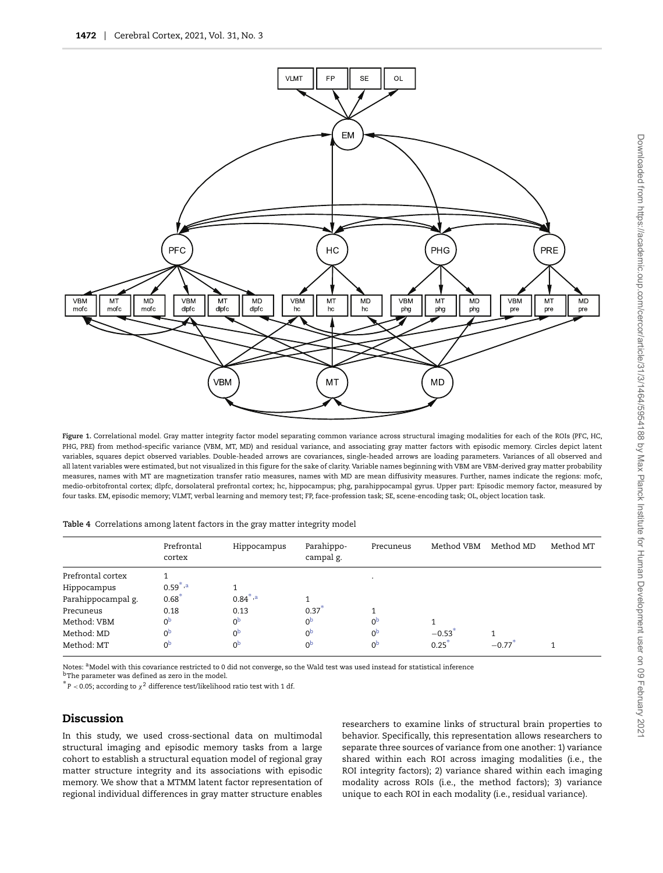

**Figure 1.** Correlational model*.* Gray matter integrity factor model separating common variance across structural imaging modalities for each of the ROIs (PFC, HC, PHG, PRE) from method-specific variance (VBM, MT, MD) and residual variance, and associating gray matter factors with episodic memory. Circles depict latent variables, squares depict observed variables. Double-headed arrows are covariances, single-headed arrows are loading parameters. Variances of all observed and all latent variables were estimated, but not visualized in this figure for the sake of clarity. Variable names beginning with VBM are VBM-derived gray matter probability measures, names with MT are magnetization transfer ratio measures, names with MD are mean diffusivity measures. Further, names indicate the regions: mofc, medio-orbitofrontal cortex; dlpfc, dorsolateral prefrontal cortex; hc, hippocampus; phg, parahippocampal gyrus. Upper part: Episodic memory factor, measured by four tasks. EM, episodic memory; VLMT, verbal learning and memory test; FP, face-profession task; SE, scene-encoding task; OL, object location task.

<span id="page-8-0"></span>

|                    | Prefrontal<br>cortex   | Hippocampus    | Parahippo-<br>campal g. | Precuneus      | Method VBM | Method MD | Method MT |
|--------------------|------------------------|----------------|-------------------------|----------------|------------|-----------|-----------|
| Prefrontal cortex  |                        |                |                         | $\cdot$        |            |           |           |
| Hippocampus        | $0.59$ <sup>*</sup> ,a |                |                         |                |            |           |           |
| Parahippocampal g. | $0.68*$                | $0.84^*$ ,a    |                         |                |            |           |           |
| Precuneus          | 0.18                   | 0.13           | 0.37                    |                |            |           |           |
| Method: VBM        | 0 <sup>b</sup>         | 0 <sup>b</sup> | 0 <sup>b</sup>          | 0 <sup>b</sup> |            |           |           |
| Method: MD         | 0 <sup>b</sup>         | 0 <sup>b</sup> | 0 <sup>b</sup>          | 0 <sup>b</sup> | $-0.53$    | ◀         |           |
| Method: MT         | 0 <sup>b</sup>         | 0 <sup>b</sup> | 0 <sup>b</sup>          | 0 <sup>b</sup> | 0.25       | $-0.77$   |           |

Notes: aModel with this covariance restricted to 0 did not converge, so the Wald test was used instead for statistical inference

 $\rm{^{9}The}$  parameter was defined as zero in the model.

 $^*$  *P* < 0.05; according to  $\chi^2$  difference test/likelihood ratio test with 1 df.

## **Discussion**

In this study, we used cross-sectional data on multimodal structural imaging and episodic memory tasks from a large cohort to establish a structural equation model of regional gray matter structure integrity and its associations with episodic memory. We show that a MTMM latent factor representation of regional individual differences in gray matter structure enables

researchers to examine links of structural brain properties to behavior. Specifically, this representation allows researchers to separate three sources of variance from one another: 1) variance shared within each ROI across imaging modalities (i.e., the ROI integrity factors); 2) variance shared within each imaging modality across ROIs (i.e., the method factors); 3) variance unique to each ROI in each modality (i.e., residual variance).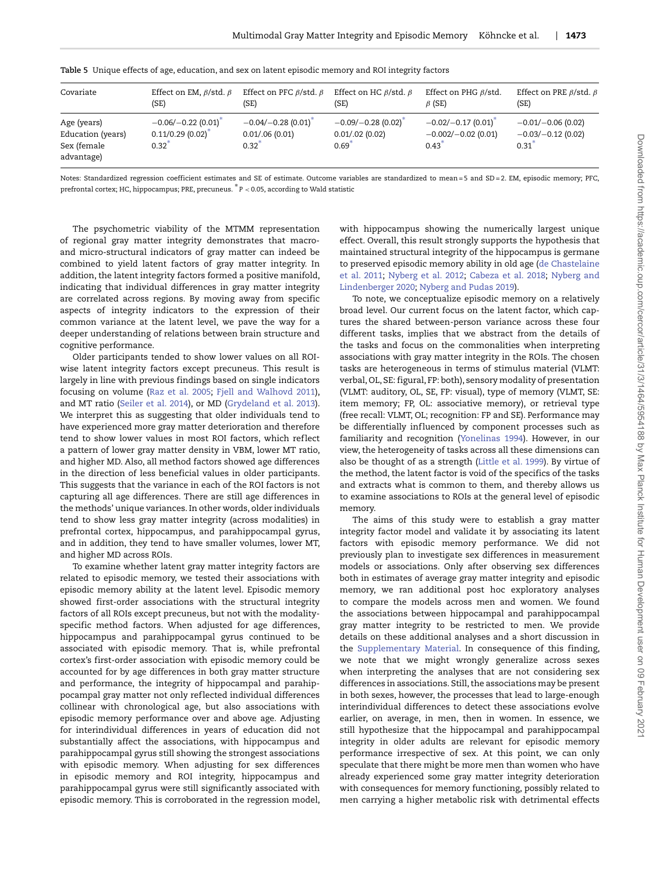| Covariate                 | Effect on EM, $\beta$ /std. $\beta$ | Effect on PFC $\beta$ /std. $\beta$ | Effect on HC $\beta$ /std. $\beta$ | Effect on PHG $\beta$ /std.   | Effect on PRE $\beta$ /std. $\beta$ |
|---------------------------|-------------------------------------|-------------------------------------|------------------------------------|-------------------------------|-------------------------------------|
|                           | (SE)                                | (SE)                                | (SE)                               | $\beta$ (SE)                  | (SE)                                |
| Age (years)               | $-0.06/-0.22(0.01)^{4}$             | $-0.04/-0.28$ (0.01) <sup>*</sup>   | $-0.09/-0.28(0.02)^{n}$            | $-0.02/-0.17(0.01)$           | $-0.01/-0.06$ (0.02)                |
| Education (years)         | 0.11/0.29(0.02)                     | 0.01/.06(0.01)                      | 0.01/.02(0.02)                     |                               | $-0.03/-0.12$ (0.02)                |
| Sex (female<br>advantage) | $0.32$ <sup>*</sup>                 | $0.32^*$                            | $0.69*$                            | $-0.002/-0.02$ (0.01)<br>0.43 | $0.31$ <sup>*</sup>                 |

<span id="page-9-0"></span>**Table 5** Unique effects of age, education, and sex on latent episodic memory and ROI integrity factors

Notes: Standardized regression coefficient estimates and SE of estimate. Outcome variables are standardized to mean = 5 and SD = 2. EM, episodic memory; PFC, prefrontal cortex; HC, hippocampus; PRE, precuneus. <sup>∗</sup> *P <* 0.05, according to Wald statistic

The psychometric viability of the MTMM representation of regional gray matter integrity demonstrates that macroand micro-structural indicators of gray matter can indeed be combined to yield latent factors of gray matter integrity. In addition, the latent integrity factors formed a positive manifold, indicating that individual differences in gray matter integrity are correlated across regions. By moving away from specific aspects of integrity indicators to the expression of their common variance at the latent level, we pave the way for a deeper understanding of relations between brain structure and cognitive performance.

Older participants tended to show lower values on all ROIwise latent integrity factors except precuneus. This result is largely in line with previous findings based on single indicators focusing on volume [\(Raz et al. 2005;](#page-13-3) [Fjell and Walhovd 2011\)](#page-12-27), and MT ratio [\(Seiler et al. 2014\)](#page-13-11), or MD [\(Grydeland et al. 2013\)](#page-12-11). We interpret this as suggesting that older individuals tend to have experienced more gray matter deterioration and therefore tend to show lower values in most ROI factors, which reflect a pattern of lower gray matter density in VBM, lower MT ratio, and higher MD. Also, all method factors showed age differences in the direction of less beneficial values in older participants. This suggests that the variance in each of the ROI factors is not capturing all age differences. There are still age differences in the methods' unique variances. In other words, older individuals tend to show less gray matter integrity (across modalities) in prefrontal cortex, hippocampus, and parahippocampal gyrus, and in addition, they tend to have smaller volumes, lower MT, and higher MD across ROIs.

To examine whether latent gray matter integrity factors are related to episodic memory, we tested their associations with episodic memory ability at the latent level. Episodic memory showed first-order associations with the structural integrity factors of all ROIs except precuneus, but not with the modalityspecific method factors. When adjusted for age differences, hippocampus and parahippocampal gyrus continued to be associated with episodic memory. That is, while prefrontal cortex's first-order association with episodic memory could be accounted for by age differences in both gray matter structure and performance, the integrity of hippocampal and parahippocampal gray matter not only ref lected individual differences collinear with chronological age, but also associations with episodic memory performance over and above age. Adjusting for interindividual differences in years of education did not substantially affect the associations, with hippocampus and parahippocampal gyrus still showing the strongest associations with episodic memory. When adjusting for sex differences in episodic memory and ROI integrity, hippocampus and parahippocampal gyrus were still significantly associated with episodic memory. This is corroborated in the regression model, with hippocampus showing the numerically largest unique effect. Overall, this result strongly supports the hypothesis that maintained structural integrity of the hippocampus is germane [to preserved episodic memory ability in old age \(de Chastelaine](#page-11-20) et al. 2011; [Nyberg et al. 2012;](#page-12-1) [Cabeza et al. 2018;](#page-11-1) Nyberg and Lindenberger 2020; [Nyberg and Pudas 2019\).](#page-12-4)

To note, we conceptualize episodic memory on a relatively broad level. Our current focus on the latent factor, which captures the shared between-person variance across these four different tasks, implies that we abstract from the details of the tasks and focus on the commonalities when interpreting associations with gray matter integrity in the ROIs. The chosen tasks are heterogeneous in terms of stimulus material (VLMT: verbal, OL, SE: figural, FP: both), sensory modality of presentation (VLMT: auditory, OL, SE, FP: visual), type of memory (VLMT, SE: item memory; FP, OL: associative memory), or retrieval type (free recall: VLMT, OL; recognition: FP and SE). Performance may be differentially influenced by component processes such as familiarity and recognition [\(Yonelinas 1994\)](#page-13-26). However, in our view, the heterogeneity of tasks across all these dimensions can also be thought of as a strength [\(Little et al. 1999\)](#page-12-19). By virtue of the method, the latent factor is void of the specifics of the tasks and extracts what is common to them, and thereby allows us to examine associations to ROIs at the general level of episodic memory.

The aims of this study were to establish a gray matter integrity factor model and validate it by associating its latent factors with episodic memory performance. We did not previously plan to investigate sex differences in measurement models or associations. Only after observing sex differences both in estimates of average gray matter integrity and episodic memory, we ran additional post hoc exploratory analyses to compare the models across men and women. We found the associations between hippocampal and parahippocampal gray matter integrity to be restricted to men. We provide details on these additional analyses and a short discussion in the [Supplementary Material.](https://academic.oup.com/cercor/article-lookup/doi/10.1093/cercor/bhaa287#supplementary-data) In consequence of this finding, we note that we might wrongly generalize across sexes when interpreting the analyses that are not considering sex differences in associations. Still, the associations may be present in both sexes, however, the processes that lead to large-enough interindividual differences to detect these associations evolve earlier, on average, in men, then in women. In essence, we still hypothesize that the hippocampal and parahippocampal integrity in older adults are relevant for episodic memory performance irrespective of sex. At this point, we can only speculate that there might be more men than women who have already experienced some gray matter integrity deterioration with consequences for memory functioning, possibly related to men carrying a higher metabolic risk with detrimental effects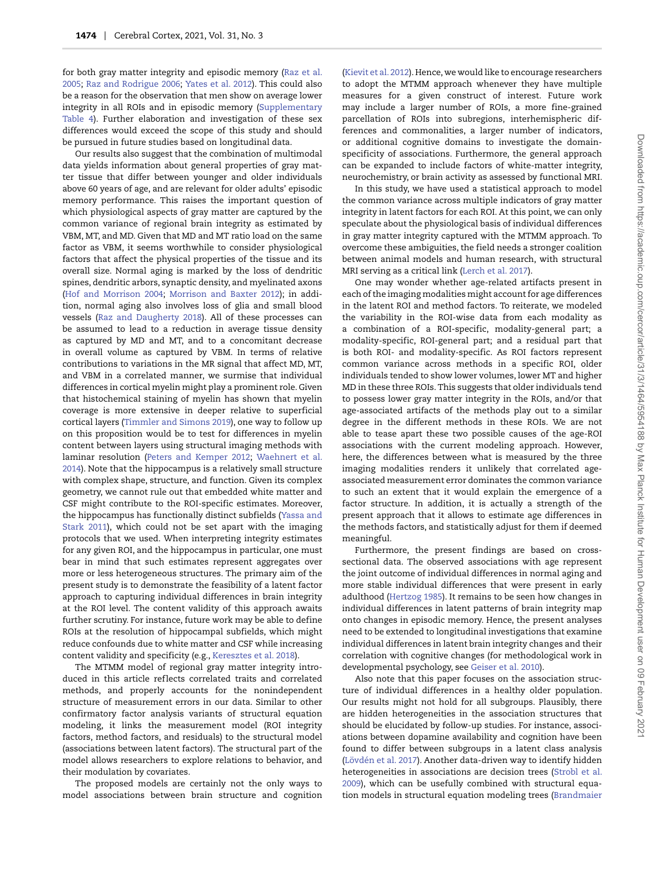[for both gray matter integrity and episodic memory \(Raz et al.](#page-13-3) 2005; [Raz and Rodrigue 2006;](#page-13-17) [Yates et al. 2012\)](#page-13-27). This could also be a reason for the observation that men show on average lower integrity in all ROIs and in episodic memory (Supplementary [Table 4\). Further elaboration and investigation of these sex](https://academic.oup.com/cercor/article-lookup/doi/10.1093/cercor/bhaa287#supplementary-data) differences would exceed the scope of this study and should be pursued in future studies based on longitudinal data.

Our results also suggest that the combination of multimodal data yields information about general properties of gray matter tissue that differ between younger and older individuals above 60 years of age, and are relevant for older adults' episodic memory performance. This raises the important question of which physiological aspects of gray matter are captured by the common variance of regional brain integrity as estimated by VBM, MT, and MD. Given that MD and MT ratio load on the same factor as VBM, it seems worthwhile to consider physiological factors that affect the physical properties of the tissue and its overall size. Normal aging is marked by the loss of dendritic spines, dendritic arbors, synaptic density, and myelinated axons [\(Hof and Morrison 2004;](#page-12-28) [Morrison and Baxter 2012\)](#page-12-29); in addition, normal aging also involves loss of glia and small blood vessels [\(Raz and Daugherty 2018\)](#page-13-28). All of these processes can be assumed to lead to a reduction in average tissue density as captured by MD and MT, and to a concomitant decrease in overall volume as captured by VBM. In terms of relative contributions to variations in the MR signal that affect MD, MT, and VBM in a correlated manner, we surmise that individual differences in cortical myelin might play a prominent role. Given that histochemical staining of myelin has shown that myelin coverage is more extensive in deeper relative to superficial cortical layers [\(Timmler and Simons 2019\)](#page-13-29), one way to follow up on this proposition would be to test for differences in myelin content between layers using structural imaging methods with laminar resolution [\(Peters and Kemper 2012;](#page-13-30) Waehnert et al. [2014\). Note that the hippocampus is a relatively small structure](#page-13-31) with complex shape, structure, and function. Given its complex geometry, we cannot rule out that embedded white matter and CSF might contribute to the ROI-specific estimates. Moreover, [the hippocampus has functionally distinct subfields \(Yassa and](#page-13-32) Stark 2011), which could not be set apart with the imaging protocols that we used. When interpreting integrity estimates for any given ROI, and the hippocampus in particular, one must bear in mind that such estimates represent aggregates over more or less heterogeneous structures. The primary aim of the present study is to demonstrate the feasibility of a latent factor approach to capturing individual differences in brain integrity at the ROI level. The content validity of this approach awaits further scrutiny. For instance, future work may be able to define ROIs at the resolution of hippocampal subfields, which might reduce confounds due to white matter and CSF while increasing content validity and specificity (e.g., [Keresztes et al. 2018\)](#page-12-30).

The MTMM model of regional gray matter integrity introduced in this article reflects correlated traits and correlated methods, and properly accounts for the nonindependent structure of measurement errors in our data. Similar to other confirmatory factor analysis variants of structural equation modeling, it links the measurement model (ROI integrity factors, method factors, and residuals) to the structural model (associations between latent factors). The structural part of the model allows researchers to explore relations to behavior, and their modulation by covariates.

The proposed models are certainly not the only ways to model associations between brain structure and cognition [\(Kievit et al. 2012\)](#page-12-26). Hence, we would like to encourage researchers to adopt the MTMM approach whenever they have multiple measures for a given construct of interest. Future work may include a larger number of ROIs, a more fine-grained parcellation of ROIs into subregions, interhemispheric differences and commonalities, a larger number of indicators, or additional cognitive domains to investigate the domainspecificity of associations. Furthermore, the general approach can be expanded to include factors of white-matter integrity, neurochemistry, or brain activity as assessed by functional MRI.

In this study, we have used a statistical approach to model the common variance across multiple indicators of gray matter integrity in latent factors for each ROI. At this point, we can only speculate about the physiological basis of individual differences in gray matter integrity captured with the MTMM approach. To overcome these ambiguities, the field needs a stronger coalition between animal models and human research, with structural MRI serving as a critical link [\(Lerch et al. 2017\)](#page-12-31).

One may wonder whether age-related artifacts present in each of the imaging modalities might account for age differences in the latent ROI and method factors. To reiterate, we modeled the variability in the ROI-wise data from each modality as a combination of a ROI-specific, modality-general part; a modality-specific, ROI-general part; and a residual part that is both ROI- and modality-specific. As ROI factors represent common variance across methods in a specific ROI, older individuals tended to show lower volumes, lower MT and higher MD in these three ROIs. This suggests that older individuals tend to possess lower gray matter integrity in the ROIs, and/or that age-associated artifacts of the methods play out to a similar degree in the different methods in these ROIs. We are not able to tease apart these two possible causes of the age-ROI associations with the current modeling approach. However, here, the differences between what is measured by the three imaging modalities renders it unlikely that correlated ageassociated measurement error dominates the common variance to such an extent that it would explain the emergence of a factor structure. In addition, it is actually a strength of the present approach that it allows to estimate age differences in the methods factors, and statistically adjust for them if deemed meaningful.

Furthermore, the present findings are based on crosssectional data. The observed associations with age represent the joint outcome of individual differences in normal aging and more stable individual differences that were present in early adulthood [\(Hertzog 1985\)](#page-12-32). It remains to be seen how changes in individual differences in latent patterns of brain integrity map onto changes in episodic memory. Hence, the present analyses need to be extended to longitudinal investigations that examine individual differences in latent brain integrity changes and their correlation with cognitive changes (for methodological work in developmental psychology, see [Geiser et al. 2010\)](#page-12-33).

Also note that this paper focuses on the association structure of individual differences in a healthy older population. Our results might not hold for all subgroups. Plausibly, there are hidden heterogeneities in the association structures that should be elucidated by follow-up studies. For instance, associations between dopamine availability and cognition have been found to differ between subgroups in a latent class analysis [\(Lövdén et al. 2017\)](#page-12-34). Another data-driven way to identify hidden [heterogeneities in associations are decision trees \(Strobl et al.](#page-13-33) 2009), which can be usefully combined with structural equation models in structural equation modeling trees [\(Brandmaier](#page-11-21)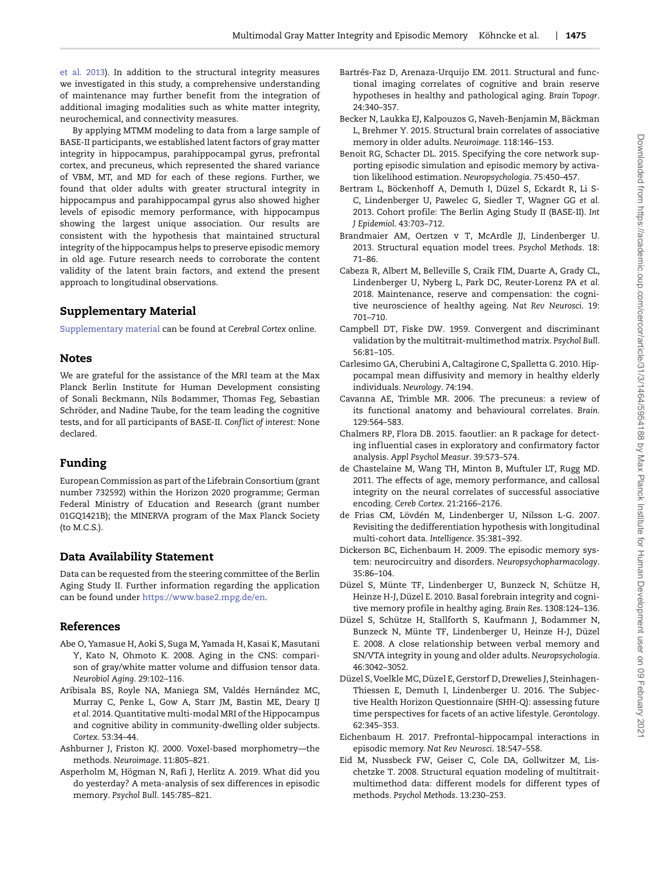[et al. 2013\)](#page-11-21). In addition to the structural integrity measures we investigated in this study, a comprehensive understanding of maintenance may further benefit from the integration of additional imaging modalities such as white matter integrity, neurochemical, and connectivity measures.

By applying MTMM modeling to data from a large sample of BASE-II participants, we established latent factors of gray matter integrity in hippocampus, parahippocampal gyrus, prefrontal cortex, and precuneus, which represented the shared variance of VBM, MT, and MD for each of these regions. Further, we found that older adults with greater structural integrity in hippocampus and parahippocampal gyrus also showed higher levels of episodic memory performance, with hippocampus showing the largest unique association. Our results are consistent with the hypothesis that maintained structural integrity of the hippocampus helps to preserve episodic memory in old age. Future research needs to corroborate the content validity of the latent brain factors, and extend the present approach to longitudinal observations.

## **Supplementary Material**

[Supplementary material](https://academic.oup.com/cercor/article-lookup/doi/10.1093/cercor/bhaa287#supplementary-data) can be found at *Cerebral Cortex* online.

## **Notes**

We are grateful for the assistance of the MRI team at the Max Planck Berlin Institute for Human Development consisting of Sonali Beckmann, Nils Bodammer, Thomas Feg, Sebastian Schröder, and Nadine Taube, for the team leading the cognitive tests, and for all participants of BASE-II. *Conflict of interest:* None declared.

## **Funding**

European Commission as part of the Lifebrain Consortium (grant number 732592) within the Horizon 2020 programme; German Federal Ministry of Education and Research (grant number 01GQ1421B); the MINERVA program of the Max Planck Society (to M.C.S.).

## **Data Availability Statement**

Data can be requested from the steering committee of the Berlin Aging Study II. Further information regarding the application can be found under [https://www.base2.mpg.de/en.](https://www.base2.mpg.de/en)

## **References**

- <span id="page-11-15"></span>Abe O, Yamasue H, Aoki S, Suga M, Yamada H, Kasai K, Masutani Y, Kato N, Ohmoto K. 2008. Aging in the CNS: comparison of gray/white matter volume and diffusion tensor data. *Neurobiol Aging*. 29:102–116.
- <span id="page-11-9"></span>Aribisala BS, Royle NA, Maniega SM, Valdés Hernández MC, Murray C, Penke L, Gow A, Starr JM, Bastin ME, Deary IJ *et al.* 2014. Quantitative multi-modal MRI of the Hippocampus and cognitive ability in community-dwelling older subjects. *Cortex*. 53:34–44.
- <span id="page-11-14"></span>Ashburner J, Friston KJ. 2000. Voxel-based morphometry—the methods. *Neuroimage*. 11:805–821.
- <span id="page-11-19"></span>Asperholm M, Högman N, Rafi J, Herlitz A. 2019. What did you do yesterday? A meta-analysis of sex differences in episodic memory. *Psychol Bull*. 145:785–821.
- <span id="page-11-13"></span>Bartrés-Faz D, Arenaza-Urquijo EM. 2011. Structural and functional imaging correlates of cognitive and brain reserve hypotheses in healthy and pathological aging. *Brain Topogr*. 24:340–357.
- <span id="page-11-11"></span>Becker N, Laukka EJ, Kalpouzos G, Naveh-Benjamin M, Bäckman L, Brehmer Y. 2015. Structural brain correlates of associative memory in older adults. *Neuroimage*. 118:146–153.
- <span id="page-11-5"></span>Benoit RG, Schacter DL. 2015. Specifying the core network supporting episodic simulation and episodic memory by activation likelihood estimation. *Neuropsychologia*. 75:450–457.
- <span id="page-11-16"></span>Bertram L, Böckenhoff A, Demuth I, Düzel S, Eckardt R, Li S-C, Lindenberger U, Pawelec G, Siedler T, Wagner GG *et al.* 2013. Cohort profile: The Berlin Aging Study II (BASE-II). *Int J Epidemiol*. 43:703–712.
- <span id="page-11-21"></span>Brandmaier AM, Oertzen v T, McArdle JJ, Lindenberger U. 2013. Structural equation model trees. *Psychol Methods*. 18: 71–86.
- <span id="page-11-1"></span>Cabeza R, Albert M, Belleville S, Craik FIM, Duarte A, Grady CL, Lindenberger U, Nyberg L, Park DC, Reuter-Lorenz PA *et al.* 2018. Maintenance, reserve and compensation: the cognitive neuroscience of healthy ageing. *Nat Rev Neurosci*. 19: 701–710.
- <span id="page-11-2"></span>Campbell DT, Fiske DW. 1959. Convergent and discriminant validation by the multitrait-multimethod matrix. *Psychol Bull*. 56:81–105.
- <span id="page-11-7"></span>Carlesimo GA, Cherubini A, Caltagirone C, Spalletta G. 2010. Hippocampal mean diffusivity and memory in healthy elderly individuals. *Neurology*. 74:194.
- <span id="page-11-12"></span>Cavanna AE, Trimble MR. 2006. The precuneus: a review of its functional anatomy and behavioural correlates. *Brain*. 129:564–583.
- <span id="page-11-18"></span>Chalmers RP, Flora DB. 2015. faoutlier: an R package for detecting influential cases in exploratory and confirmatory factor analysis. *Appl Psychol Measur*. 39:573–574.
- <span id="page-11-20"></span>de Chastelaine M, Wang TH, Minton B, Muftuler LT, Rugg MD. 2011. The effects of age, memory performance, and callosal integrity on the neural correlates of successful associative encoding. *Cereb Cortex*. 21:2166–2176.
- <span id="page-11-0"></span>de Frias CM, Lövdén M, Lindenberger U, Nilsson L-G. 2007. Revisiting the dedifferentiation hypothesis with longitudinal multi-cohort data. *Intelligence*. 35:381–392.
- <span id="page-11-4"></span>Dickerson BC, Eichenbaum H. 2009. The episodic memory system: neurocircuitry and disorders. *Neuropsychopharmacology*. 35:86–104.
- <span id="page-11-8"></span>Düzel S, Münte TF, Lindenberger U, Bunzeck N, Schütze H, Heinze H-J, Düzel E. 2010. Basal forebrain integrity and cognitive memory profile in healthy aging. *Brain Res*. 1308:124–136.
- <span id="page-11-10"></span>Düzel S, Schütze H, Stallforth S, Kaufmann J, Bodammer N, Bunzeck N, Münte TF, Lindenberger U, Heinze H-J, Düzel E. 2008. A close relationship between verbal memory and SN/VTA integrity in young and older adults. *Neuropsychologia*. 46:3042–3052.
- <span id="page-11-17"></span>Düzel S, Voelkle MC, Düzel E, Gerstorf D, Drewelies J, Steinhagen-Thiessen E, Demuth I, Lindenberger U. 2016. The Subjective Health Horizon Questionnaire (SHH-Q): assessing future time perspectives for facets of an active lifestyle. *Gerontology*. 62:345–353.
- <span id="page-11-6"></span>Eichenbaum H. 2017. Prefrontal–hippocampal interactions in episodic memory. *Nat Rev Neurosci*. 18:547–558.
- <span id="page-11-3"></span>Eid M, Nussbeck FW, Geiser C, Cole DA, Gollwitzer M, Lischetzke T. 2008. Structural equation modeling of multitraitmultimethod data: different models for different types of methods. *Psychol Methods*. 13:230–253.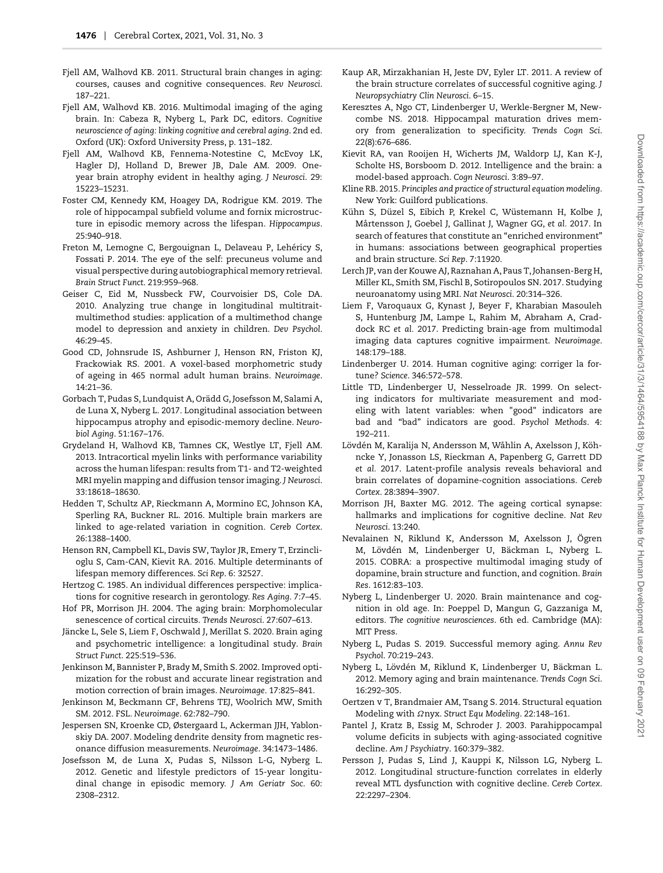- <span id="page-12-27"></span>Fjell AM, Walhovd KB. 2011. Structural brain changes in aging: courses, causes and cognitive consequences. *Rev Neurosci*. 187–221.
- <span id="page-12-14"></span>Fjell AM, Walhovd KB. 2016. Multimodal imaging of the aging brain. In: Cabeza R, Nyberg L, Park DC, editors. *Cognitive neuroscience of aging: linking cognitive and cerebral aging*. 2nd ed. Oxford (UK): Oxford University Press, p. 131–182.
- <span id="page-12-5"></span>Fjell AM, Walhovd KB, Fennema-Notestine C, McEvoy LK, Hagler DJ, Holland D, Brewer JB, Dale AM. 2009. Oneyear brain atrophy evident in healthy aging. *J Neurosci*. 29: 15223–15231.
- <span id="page-12-6"></span>Foster CM, Kennedy KM, Hoagey DA, Rodrigue KM. 2019. The role of hippocampal subfield volume and fornix microstructure in episodic memory across the lifespan. *Hippocampus*. 25:940–918.
- <span id="page-12-12"></span>Freton M, Lemogne C, Bergouignan L, Delaveau P, Lehéricy S, Fossati P. 2014. The eye of the self: precuneus volume and visual perspective during autobiographical memory retrieval. *Brain Struct Funct*. 219:959–968.
- <span id="page-12-33"></span>Geiser C, Eid M, Nussbeck FW, Courvoisier DS, Cole DA. 2010. Analyzing true change in longitudinal multitraitmultimethod studies: application of a multimethod change model to depression and anxiety in children. *Dev Psychol*. 46:29–45.
- <span id="page-12-17"></span>Good CD, Johnsrude IS, Ashburner J, Henson RN, Friston KJ, Frackowiak RS. 2001. A voxel-based morphometric study of ageing in 465 normal adult human brains. *Neuroimage*. 14:21–36.
- <span id="page-12-9"></span>Gorbach T, Pudas S, Lundquist A, Orädd G, Josefsson M, Salami A, de Luna X, Nyberg L. 2017. Longitudinal association between hippocampus atrophy and episodic-memory decline. *Neurobiol Aging*. 51:167–176.
- <span id="page-12-11"></span>Grydeland H, Walhovd KB, Tamnes CK, Westlye LT, Fjell AM. 2013. Intracortical myelin links with performance variability across the human lifespan: results from T1- and T2-weighted MRI myelin mapping and diffusion tensor imaging. *J Neurosci*. 33:18618–18630.
- <span id="page-12-15"></span>Hedden T, Schultz AP, Rieckmann A, Mormino EC, Johnson KA, Sperling RA, Buckner RL. 2016. Multiple brain markers are linked to age-related variation in cognition. *Cereb Cortex*. 26:1388–1400.
- <span id="page-12-10"></span>Henson RN, Campbell KL, Davis SW, Taylor JR, Emery T, Erzinclioglu S, Cam-CAN, Kievit RA. 2016. Multiple determinants of lifespan memory differences. *Sci Rep*. 6: 32527.
- <span id="page-12-32"></span>Hertzog C. 1985. An individual differences perspective: implications for cognitive research in gerontology. *Res Aging*. 7:7–45.
- <span id="page-12-28"></span>Hof PR, Morrison JH. 2004. The aging brain: Morphomolecular senescence of cortical circuits. *Trends Neurosci*. 27:607–613.
- Jäncke L, Sele S, Liem F, Oschwald J, Merillat S. 2020. Brain aging and psychometric intelligence: a longitudinal study. *Brain Struct Funct*. 225:519–536.
- <span id="page-12-21"></span>Jenkinson M, Bannister P, Brady M, Smith S. 2002. Improved optimization for the robust and accurate linear registration and motion correction of brain images. *Neuroimage*. 17:825–841.
- <span id="page-12-20"></span>Jenkinson M, Beckmann CF, Behrens TEJ, Woolrich MW, Smith SM. 2012. FSL. *Neuroimage*. 62:782–790.
- <span id="page-12-18"></span>Jespersen SN, Kroenke CD, Østergaard L, Ackerman JJH, Yablonskiy DA. 2007. Modeling dendrite density from magnetic resonance diffusion measurements. *Neuroimage*. 34:1473–1486.
- <span id="page-12-0"></span>Josefsson M, de Luna X, Pudas S, Nilsson L-G, Nyberg L. 2012. Genetic and lifestyle predictors of 15-year longitudinal change in episodic memory. *J Am Geriatr Soc*. 60: 2308–2312.
- <span id="page-12-7"></span>Kaup AR, Mirzakhanian H, Jeste DV, Eyler LT. 2011. A review of the brain structure correlates of successful cognitive aging. *J Neuropsychiatry Clin Neurosci*. 6–15.
- <span id="page-12-30"></span>Keresztes A, Ngo CT, Lindenberger U, Werkle-Bergner M, Newcombe NS. 2018. Hippocampal maturation drives memory from generalization to specificity. *Trends Cogn Sci*. 22(8):676–686.
- <span id="page-12-26"></span>Kievit RA, van Rooijen H, Wicherts JM, Waldorp LJ, Kan K-J, Scholte HS, Borsboom D. 2012. Intelligence and the brain: a model-based approach. *Cogn Neurosci*. 3:89–97.
- <span id="page-12-24"></span>Kline RB. 2015. *Principles and practice of structural equation modeling*. New York: Guilford publications.
- <span id="page-12-25"></span>Kühn S, Düzel S, Eibich P, Krekel C, Wüstemann H, Kolbe J, Mårtensson J, Goebel J, Gallinat J, Wagner GG, *et al.* 2017. In search of features that constitute an "enriched environment" in humans: associations between geographical properties and brain structure. *Sci Rep*. 7:11920.
- <span id="page-12-31"></span>Lerch JP, van der Kouwe AJ, Raznahan A, Paus T, Johansen-Berg H, Miller KL, Smith SM, Fischl B, Sotiropoulos SN. 2017. Studying neuroanatomy using MRI. *Nat Neurosci*. 20:314–326.
- <span id="page-12-16"></span>Liem F, Varoquaux G, Kynast J, Beyer F, Kharabian Masouleh S, Huntenburg JM, Lampe L, Rahim M, Abraham A, Craddock RC *et al.* 2017. Predicting brain-age from multimodal imaging data captures cognitive impairment. *Neuroimage*. 148:179–188.
- <span id="page-12-2"></span>Lindenberger U. 2014. Human cognitive aging: corriger la fortune? *Science*. 346:572–578.
- <span id="page-12-19"></span>Little TD, Lindenberger U, Nesselroade JR. 1999. On selecting indicators for multivariate measurement and modeling with latent variables: when "good" indicators are bad and "bad" indicators are good. *Psychol Methods*. 4: 192–211.
- <span id="page-12-34"></span>Lövdén M, Karalija N, Andersson M, Wåhlin A, Axelsson J, Köhncke Y, Jonasson LS, Rieckman A, Papenberg G, Garrett DD *et al.* 2017. Latent-profile analysis reveals behavioral and brain correlates of dopamine-cognition associations. *Cereb Cortex*. 28:3894–3907.
- <span id="page-12-29"></span>Morrison JH, Baxter MG. 2012. The ageing cortical synapse: hallmarks and implications for cognitive decline. *Nat Rev Neurosci*. 13:240.
- <span id="page-12-13"></span>Nevalainen N, Riklund K, Andersson M, Axelsson J, Ögren M, Lövdén M, Lindenberger U, Bäckman L, Nyberg L. 2015. COBRA: a prospective multimodal imaging study of dopamine, brain structure and function, and cognition. *Brain Res*. 1612:83–103.
- <span id="page-12-4"></span>Nyberg L, Lindenberger U. 2020. Brain maintenance and cognition in old age. In: Poeppel D, Mangun G, Gazzaniga M, editors. *The cognitive neurosciences*. 6th ed. Cambridge (MA): MIT Press.
- <span id="page-12-3"></span>Nyberg L, Pudas S. 2019. Successful memory aging. *Annu Rev Psychol*. 70:219–243.
- <span id="page-12-1"></span>Nyberg L, Lövdén M, Riklund K, Lindenberger U, Bäckman L. 2012. Memory aging and brain maintenance. *Trends Cogn Sci*. 16:292–305.
- <span id="page-12-23"></span>Oertzen v T, Brandmaier AM, Tsang S. 2014. Structural equation Modeling with *Ω*nyx. *Struct Equ Modeling*. 22:148–161.
- <span id="page-12-22"></span>Pantel J, Kratz B, Essig M, Schroder J. 2003. Parahippocampal volume deficits in subjects with aging-associated cognitive decline. *Am J Psychiatry*. 160:379–382.
- <span id="page-12-8"></span>Persson J, Pudas S, Lind J, Kauppi K, Nilsson LG, Nyberg L. 2012. Longitudinal structure-function correlates in elderly reveal MTL dysfunction with cognitive decline. *Cereb Cortex*. 22:2297–2304.